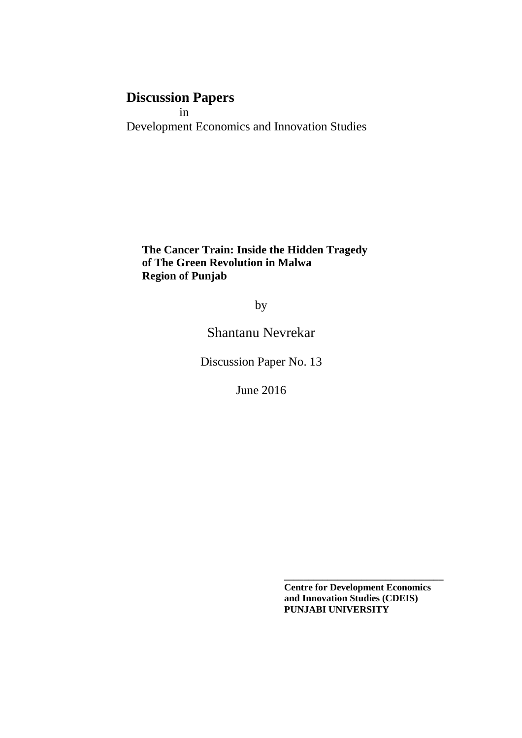# **Discussion Papers**

 in Development Economics and Innovation Studies

**The Cancer Train: Inside the Hidden Tragedy of The Green Revolution in Malwa Region of Punjab**

by

Shantanu Nevrekar

Discussion Paper No. 13

June 2016

 **Centre for Development Economics and Innovation Studies (CDEIS) PUNJABI UNIVERSITY**

**\_\_\_\_\_\_\_\_\_\_\_\_\_\_\_\_\_\_\_\_\_\_\_\_\_\_\_\_\_\_\_\_\_**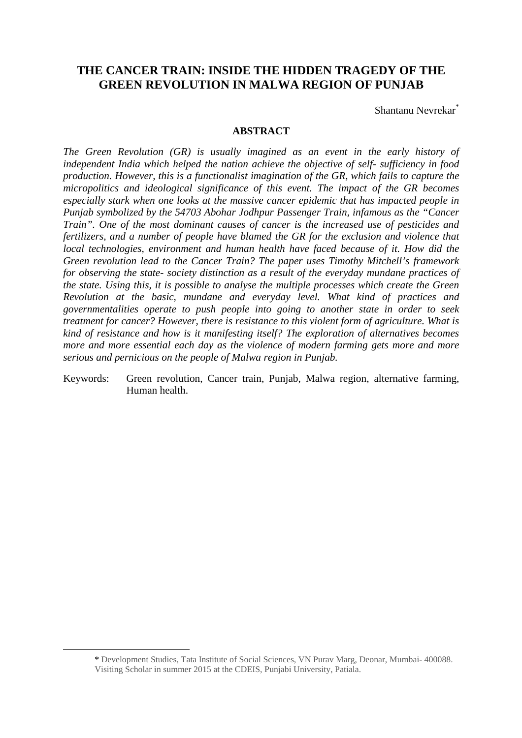## **THE CANCER TRAIN: INSIDE THE HIDDEN TRAGEDY OF THE GREEN REVOLUTION IN MALWA REGION OF PUNJAB**

Shantanu Nevrekar\*

### **ABSTRACT**

*The Green Revolution (GR) is usually imagined as an event in the early history of independent India which helped the nation achieve the objective of self- sufficiency in food production. However, this is a functionalist imagination of the GR, which fails to capture the micropolitics and ideological significance of this event. The impact of the GR becomes especially stark when one looks at the massive cancer epidemic that has impacted people in Punjab symbolized by the 54703 Abohar Jodhpur Passenger Train, infamous as the "Cancer Train". One of the most dominant causes of cancer is the increased use of pesticides and fertilizers, and a number of people have blamed the GR for the exclusion and violence that local technologies, environment and human health have faced because of it. How did the Green revolution lead to the Cancer Train? The paper uses Timothy Mitchell's framework for observing the state- society distinction as a result of the everyday mundane practices of the state. Using this, it is possible to analyse the multiple processes which create the Green Revolution at the basic, mundane and everyday level. What kind of practices and governmentalities operate to push people into going to another state in order to seek treatment for cancer? However, there is resistance to this violent form of agriculture. What is kind of resistance and how is it manifesting itself? The exploration of alternatives becomes more and more essential each day as the violence of modern farming gets more and more serious and pernicious on the people of Malwa region in Punjab.* 

Keywords: Green revolution, Cancer train, Punjab, Malwa region, alternative farming, Human health.

 $\overline{a}$ 

<sup>\*</sup> Development Studies, Tata Institute of Social Sciences, VN Purav Marg, Deonar, Mumbai- 400088. Visiting Scholar in summer 2015 at the CDEIS, Punjabi University, Patiala.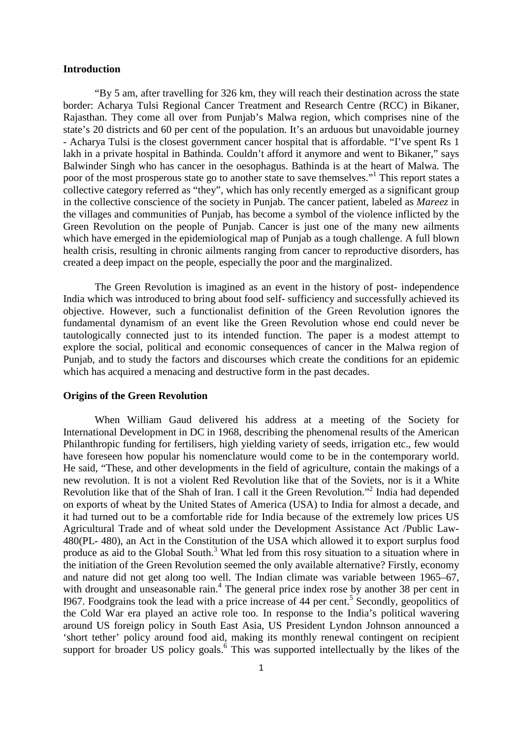#### **Introduction**

"By 5 am, after travelling for 326 km, they will reach their destination across the state border: Acharya Tulsi Regional Cancer Treatment and Research Centre (RCC) in Bikaner, Rajasthan. They come all over from Punjab's Malwa region, which comprises nine of the state's 20 districts and 60 per cent of the population. It's an arduous but unavoidable journey - Acharya Tulsi is the closest government cancer hospital that is affordable. "I've spent Rs 1 lakh in a private hospital in Bathinda. Couldn't afford it anymore and went to Bikaner," says Balwinder Singh who has cancer in the oesophagus. Bathinda is at the heart of Malwa. The poor of the most prosperous state go to another state to save themselves."<sup>1</sup> This report states a collective category referred as "they", which has only recently emerged as a significant group in the collective conscience of the society in Punjab. The cancer patient, labeled as *Mareez* in the villages and communities of Punjab, has become a symbol of the violence inflicted by the Green Revolution on the people of Punjab. Cancer is just one of the many new ailments which have emerged in the epidemiological map of Punjab as a tough challenge. A full blown health crisis, resulting in chronic ailments ranging from cancer to reproductive disorders, has created a deep impact on the people, especially the poor and the marginalized.

 The Green Revolution is imagined as an event in the history of post- independence India which was introduced to bring about food self- sufficiency and successfully achieved its objective. However, such a functionalist definition of the Green Revolution ignores the fundamental dynamism of an event like the Green Revolution whose end could never be tautologically connected just to its intended function. The paper is a modest attempt to explore the social, political and economic consequences of cancer in the Malwa region of Punjab, and to study the factors and discourses which create the conditions for an epidemic which has acquired a menacing and destructive form in the past decades.

#### **Origins of the Green Revolution**

 When William Gaud delivered his address at a meeting of the Society for International Development in DC in 1968, describing the phenomenal results of the American Philanthropic funding for fertilisers, high yielding variety of seeds, irrigation etc., few would have foreseen how popular his nomenclature would come to be in the contemporary world. He said, "These, and other developments in the field of agriculture, contain the makings of a new revolution. It is not a violent Red Revolution like that of the Soviets, nor is it a White Revolution like that of the Shah of Iran. I call it the Green Revolution."<sup>2</sup> India had depended on exports of wheat by the United States of America (USA) to India for almost a decade, and it had turned out to be a comfortable ride for India because of the extremely low prices US Agricultural Trade and of wheat sold under the Development Assistance Act /Public Law-480(PL- 480), an Act in the Constitution of the USA which allowed it to export surplus food produce as aid to the Global South.<sup>3</sup> What led from this rosy situation to a situation where in the initiation of the Green Revolution seemed the only available alternative? Firstly, economy and nature did not get along too well. The Indian climate was variable between 1965–67, with drought and unseasonable rain.<sup>4</sup> The general price index rose by another 38 per cent in 1967. Foodgrains took the lead with a price increase of 44 per cent.<sup>5</sup> Secondly, geopolitics of the Cold War era played an active role too. In response to the India's political wavering around US foreign policy in South East Asia, US President Lyndon Johnson announced a 'short tether' policy around food aid, making its monthly renewal contingent on recipient support for broader US policy goals.<sup>6</sup> This was supported intellectually by the likes of the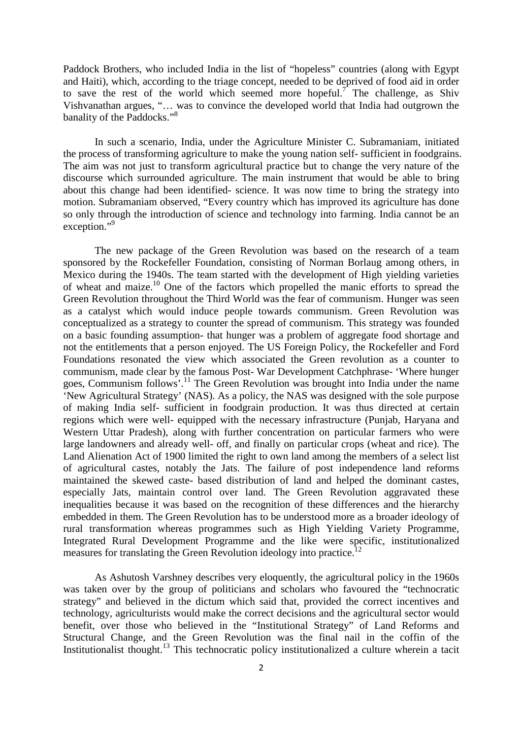Paddock Brothers, who included India in the list of "hopeless" countries (along with Egypt and Haiti), which, according to the triage concept, needed to be deprived of food aid in order to save the rest of the world which seemed more hopeful.<sup>7</sup> The challenge, as Shiv Vishvanathan argues, "… was to convince the developed world that India had outgrown the banality of the Paddocks."<sup>8</sup>

 In such a scenario, India, under the Agriculture Minister C. Subramaniam, initiated the process of transforming agriculture to make the young nation self- sufficient in foodgrains. The aim was not just to transform agricultural practice but to change the very nature of the discourse which surrounded agriculture. The main instrument that would be able to bring about this change had been identified- science. It was now time to bring the strategy into motion. Subramaniam observed, "Every country which has improved its agriculture has done so only through the introduction of science and technology into farming. India cannot be an exception."<sup>9</sup>

 The new package of the Green Revolution was based on the research of a team sponsored by the Rockefeller Foundation, consisting of Norman Borlaug among others, in Mexico during the 1940s. The team started with the development of High yielding varieties of wheat and maize.<sup>10</sup> One of the factors which propelled the manic efforts to spread the Green Revolution throughout the Third World was the fear of communism. Hunger was seen as a catalyst which would induce people towards communism. Green Revolution was conceptualized as a strategy to counter the spread of communism. This strategy was founded on a basic founding assumption- that hunger was a problem of aggregate food shortage and not the entitlements that a person enjoyed. The US Foreign Policy, the Rockefeller and Ford Foundations resonated the view which associated the Green revolution as a counter to communism, made clear by the famous Post- War Development Catchphrase- 'Where hunger goes, Communism follows'.<sup>11</sup> The Green Revolution was brought into India under the name 'New Agricultural Strategy' (NAS). As a policy, the NAS was designed with the sole purpose of making India self- sufficient in foodgrain production. It was thus directed at certain regions which were well- equipped with the necessary infrastructure (Punjab, Haryana and Western Uttar Pradesh), along with further concentration on particular farmers who were large landowners and already well- off, and finally on particular crops (wheat and rice). The Land Alienation Act of 1900 limited the right to own land among the members of a select list of agricultural castes, notably the Jats. The failure of post independence land reforms maintained the skewed caste- based distribution of land and helped the dominant castes, especially Jats, maintain control over land. The Green Revolution aggravated these inequalities because it was based on the recognition of these differences and the hierarchy embedded in them. The Green Revolution has to be understood more as a broader ideology of rural transformation whereas programmes such as High Yielding Variety Programme, Integrated Rural Development Programme and the like were specific, institutionalized measures for translating the Green Revolution ideology into practice.<sup>12</sup>

 As Ashutosh Varshney describes very eloquently, the agricultural policy in the 1960s was taken over by the group of politicians and scholars who favoured the "technocratic strategy" and believed in the dictum which said that, provided the correct incentives and technology, agriculturists would make the correct decisions and the agricultural sector would benefit, over those who believed in the "Institutional Strategy" of Land Reforms and Structural Change, and the Green Revolution was the final nail in the coffin of the Institutionalist thought.<sup>13</sup> This technocratic policy institutionalized a culture wherein a tacit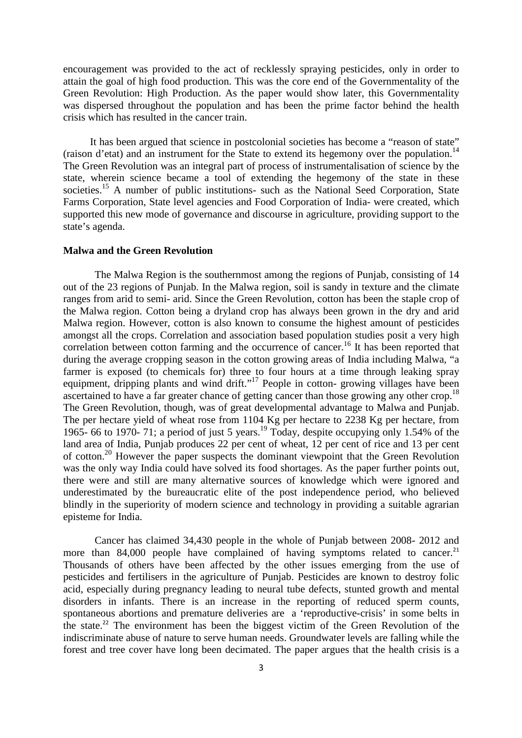encouragement was provided to the act of recklessly spraying pesticides, only in order to attain the goal of high food production. This was the core end of the Governmentality of the Green Revolution: High Production. As the paper would show later, this Governmentality was dispersed throughout the population and has been the prime factor behind the health crisis which has resulted in the cancer train.

 It has been argued that science in postcolonial societies has become a "reason of state" (raison d'etat) and an instrument for the State to extend its hegemony over the population.<sup>14</sup> The Green Revolution was an integral part of process of instrumentalisation of science by the state, wherein science became a tool of extending the hegemony of the state in these societies.<sup>15</sup> A number of public institutions- such as the National Seed Corporation, State Farms Corporation, State level agencies and Food Corporation of India- were created, which supported this new mode of governance and discourse in agriculture, providing support to the state's agenda.

#### **Malwa and the Green Revolution**

 The Malwa Region is the southernmost among the regions of Punjab, consisting of 14 out of the 23 regions of Punjab. In the Malwa region, soil is sandy in texture and the climate ranges from arid to semi- arid. Since the Green Revolution, cotton has been the staple crop of the Malwa region. Cotton being a dryland crop has always been grown in the dry and arid Malwa region. However, cotton is also known to consume the highest amount of pesticides amongst all the crops. Correlation and association based population studies posit a very high correlation between cotton farming and the occurrence of cancer.<sup>16</sup> It has been reported that during the average cropping season in the cotton growing areas of India including Malwa, "a farmer is exposed (to chemicals for) three to four hours at a time through leaking spray equipment, dripping plants and wind drift."<sup>17</sup> People in cotton- growing villages have been ascertained to have a far greater chance of getting cancer than those growing any other crop.<sup>18</sup> The Green Revolution, though, was of great developmental advantage to Malwa and Punjab. The per hectare yield of wheat rose from 1104 Kg per hectare to 2238 Kg per hectare, from 1965- 66 to 1970- 71; a period of just 5 years.<sup>19</sup> Today, despite occupying only 1.54% of the land area of India, Punjab produces 22 per cent of wheat, 12 per cent of rice and 13 per cent of cotton.<sup>20</sup> However the paper suspects the dominant viewpoint that the Green Revolution was the only way India could have solved its food shortages. As the paper further points out, there were and still are many alternative sources of knowledge which were ignored and underestimated by the bureaucratic elite of the post independence period, who believed blindly in the superiority of modern science and technology in providing a suitable agrarian episteme for India.

Cancer has claimed 34,430 people in the whole of Punjab between 2008- 2012 and more than  $84,000$  people have complained of having symptoms related to cancer.<sup>21</sup> Thousands of others have been affected by the other issues emerging from the use of pesticides and fertilisers in the agriculture of Punjab. Pesticides are known to destroy folic acid, especially during pregnancy leading to neural tube defects, stunted growth and mental disorders in infants. There is an increase in the reporting of reduced sperm counts, spontaneous abortions and premature deliveries are a 'reproductive-crisis' in some belts in the state.<sup>22</sup> The environment has been the biggest victim of the Green Revolution of the indiscriminate abuse of nature to serve human needs. Groundwater levels are falling while the forest and tree cover have long been decimated. The paper argues that the health crisis is a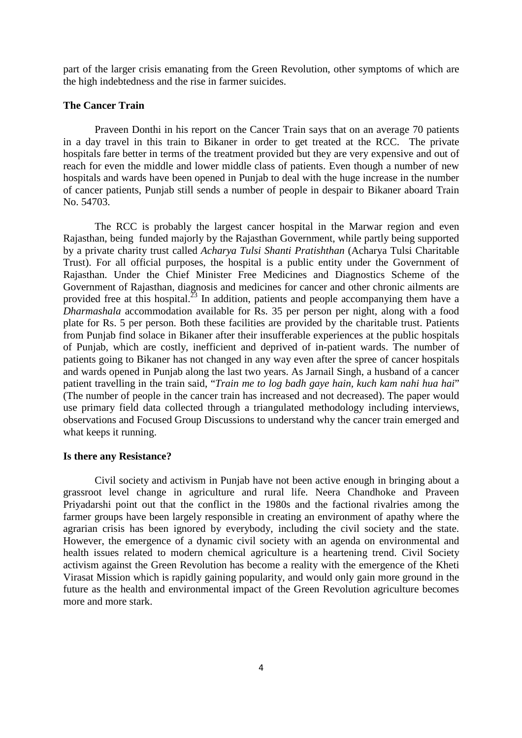part of the larger crisis emanating from the Green Revolution, other symptoms of which are the high indebtedness and the rise in farmer suicides.

#### **The Cancer Train**

 Praveen Donthi in his report on the Cancer Train says that on an average 70 patients in a day travel in this train to Bikaner in order to get treated at the RCC. The private hospitals fare better in terms of the treatment provided but they are very expensive and out of reach for even the middle and lower middle class of patients. Even though a number of new hospitals and wards have been opened in Punjab to deal with the huge increase in the number of cancer patients, Punjab still sends a number of people in despair to Bikaner aboard Train No. 54703.

 The RCC is probably the largest cancer hospital in the Marwar region and even Rajasthan, being funded majorly by the Rajasthan Government, while partly being supported by a private charity trust called *Acharya Tulsi Shanti Pratishthan* (Acharya Tulsi Charitable Trust). For all official purposes, the hospital is a public entity under the Government of Rajasthan. Under the Chief Minister Free Medicines and Diagnostics Scheme of the Government of Rajasthan, diagnosis and medicines for cancer and other chronic ailments are provided free at this hospital.<sup>23</sup> In addition, patients and people accompanying them have a *Dharmashala* accommodation available for Rs. 35 per person per night, along with a food plate for Rs. 5 per person. Both these facilities are provided by the charitable trust. Patients from Punjab find solace in Bikaner after their insufferable experiences at the public hospitals of Punjab, which are costly, inefficient and deprived of in-patient wards. The number of patients going to Bikaner has not changed in any way even after the spree of cancer hospitals and wards opened in Punjab along the last two years. As Jarnail Singh, a husband of a cancer patient travelling in the train said, "*Train me to log badh gaye hain, kuch kam nahi hua hai*" (The number of people in the cancer train has increased and not decreased). The paper would use primary field data collected through a triangulated methodology including interviews, observations and Focused Group Discussions to understand why the cancer train emerged and what keeps it running.

#### **Is there any Resistance?**

 Civil society and activism in Punjab have not been active enough in bringing about a grassroot level change in agriculture and rural life. Neera Chandhoke and Praveen Priyadarshi point out that the conflict in the 1980s and the factional rivalries among the farmer groups have been largely responsible in creating an environment of apathy where the agrarian crisis has been ignored by everybody, including the civil society and the state. However, the emergence of a dynamic civil society with an agenda on environmental and health issues related to modern chemical agriculture is a heartening trend. Civil Society activism against the Green Revolution has become a reality with the emergence of the Kheti Virasat Mission which is rapidly gaining popularity, and would only gain more ground in the future as the health and environmental impact of the Green Revolution agriculture becomes more and more stark.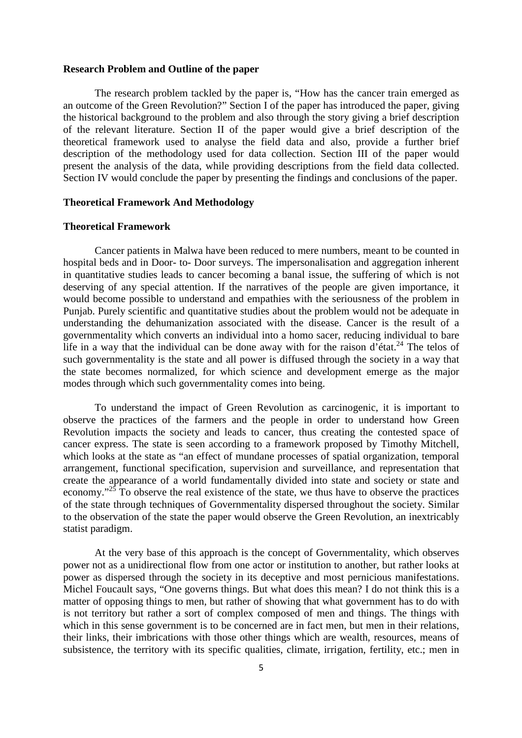#### **Research Problem and Outline of the paper**

 The research problem tackled by the paper is, "How has the cancer train emerged as an outcome of the Green Revolution?" Section I of the paper has introduced the paper, giving the historical background to the problem and also through the story giving a brief description of the relevant literature. Section II of the paper would give a brief description of the theoretical framework used to analyse the field data and also, provide a further brief description of the methodology used for data collection. Section III of the paper would present the analysis of the data, while providing descriptions from the field data collected. Section IV would conclude the paper by presenting the findings and conclusions of the paper.

#### **Theoretical Framework And Methodology**

#### **Theoretical Framework**

Cancer patients in Malwa have been reduced to mere numbers, meant to be counted in hospital beds and in Door- to- Door surveys. The impersonalisation and aggregation inherent in quantitative studies leads to cancer becoming a banal issue, the suffering of which is not deserving of any special attention. If the narratives of the people are given importance, it would become possible to understand and empathies with the seriousness of the problem in Punjab. Purely scientific and quantitative studies about the problem would not be adequate in understanding the dehumanization associated with the disease. Cancer is the result of a governmentality which converts an individual into a homo sacer, reducing individual to bare life in a way that the individual can be done away with for the raison d'état.<sup>24</sup> The telos of such governmentality is the state and all power is diffused through the society in a way that the state becomes normalized, for which science and development emerge as the major modes through which such governmentality comes into being.

To understand the impact of Green Revolution as carcinogenic, it is important to observe the practices of the farmers and the people in order to understand how Green Revolution impacts the society and leads to cancer, thus creating the contested space of cancer express. The state is seen according to a framework proposed by Timothy Mitchell, which looks at the state as "an effect of mundane processes of spatial organization, temporal arrangement, functional specification, supervision and surveillance, and representation that create the appearance of a world fundamentally divided into state and society or state and economy."<sup>25</sup> To observe the real existence of the state, we thus have to observe the practices of the state through techniques of Governmentality dispersed throughout the society. Similar to the observation of the state the paper would observe the Green Revolution, an inextricably statist paradigm.

 At the very base of this approach is the concept of Governmentality, which observes power not as a unidirectional flow from one actor or institution to another, but rather looks at power as dispersed through the society in its deceptive and most pernicious manifestations. Michel Foucault says, "One governs things. But what does this mean? I do not think this is a matter of opposing things to men, but rather of showing that what government has to do with is not territory but rather a sort of complex composed of men and things. The things with which in this sense government is to be concerned are in fact men, but men in their relations, their links, their imbrications with those other things which are wealth, resources, means of subsistence, the territory with its specific qualities, climate, irrigation, fertility, etc.; men in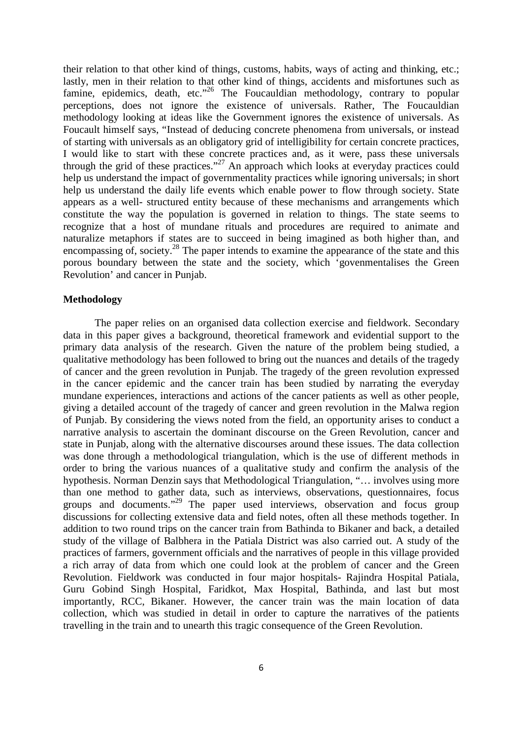their relation to that other kind of things, customs, habits, ways of acting and thinking, etc.; lastly, men in their relation to that other kind of things, accidents and misfortunes such as famine, epidemics, death, etc."<sup>26</sup> The Foucauldian methodology, contrary to popular perceptions, does not ignore the existence of universals. Rather, The Foucauldian methodology looking at ideas like the Government ignores the existence of universals. As Foucault himself says, "Instead of deducing concrete phenomena from universals, or instead of starting with universals as an obligatory grid of intelligibility for certain concrete practices, I would like to start with these concrete practices and, as it were, pass these universals through the grid of these practices."<sup>27</sup> An approach which looks at everyday practices could help us understand the impact of governmentality practices while ignoring universals; in short help us understand the daily life events which enable power to flow through society. State appears as a well- structured entity because of these mechanisms and arrangements which constitute the way the population is governed in relation to things. The state seems to recognize that a host of mundane rituals and procedures are required to animate and naturalize metaphors if states are to succeed in being imagined as both higher than, and encompassing of, society.<sup>28</sup> The paper intends to examine the appearance of the state and this porous boundary between the state and the society, which 'govenmentalises the Green Revolution' and cancer in Punjab.

#### **Methodology**

 The paper relies on an organised data collection exercise and fieldwork. Secondary data in this paper gives a background, theoretical framework and evidential support to the primary data analysis of the research. Given the nature of the problem being studied, a qualitative methodology has been followed to bring out the nuances and details of the tragedy of cancer and the green revolution in Punjab. The tragedy of the green revolution expressed in the cancer epidemic and the cancer train has been studied by narrating the everyday mundane experiences, interactions and actions of the cancer patients as well as other people, giving a detailed account of the tragedy of cancer and green revolution in the Malwa region of Punjab. By considering the views noted from the field, an opportunity arises to conduct a narrative analysis to ascertain the dominant discourse on the Green Revolution, cancer and state in Punjab, along with the alternative discourses around these issues. The data collection was done through a methodological triangulation, which is the use of different methods in order to bring the various nuances of a qualitative study and confirm the analysis of the hypothesis. Norman Denzin says that Methodological Triangulation, "… involves using more than one method to gather data, such as interviews, observations, questionnaires, focus groups and documents. $129$  The paper used interviews, observation and focus group discussions for collecting extensive data and field notes, often all these methods together. In addition to two round trips on the cancer train from Bathinda to Bikaner and back, a detailed study of the village of Balbhera in the Patiala District was also carried out. A study of the practices of farmers, government officials and the narratives of people in this village provided a rich array of data from which one could look at the problem of cancer and the Green Revolution. Fieldwork was conducted in four major hospitals- Rajindra Hospital Patiala, Guru Gobind Singh Hospital, Faridkot, Max Hospital, Bathinda, and last but most importantly, RCC, Bikaner. However, the cancer train was the main location of data collection, which was studied in detail in order to capture the narratives of the patients travelling in the train and to unearth this tragic consequence of the Green Revolution.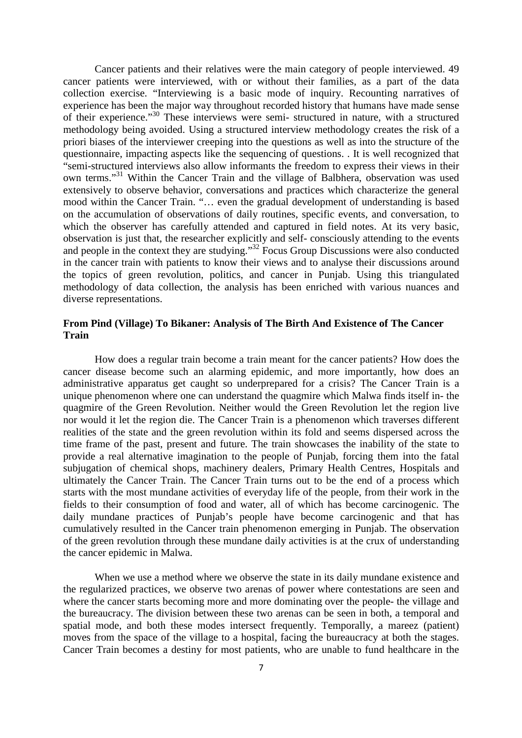Cancer patients and their relatives were the main category of people interviewed. 49 cancer patients were interviewed, with or without their families, as a part of the data collection exercise. "Interviewing is a basic mode of inquiry. Recounting narratives of experience has been the major way throughout recorded history that humans have made sense of their experience."<sup>30</sup> These interviews were semi- structured in nature, with a structured methodology being avoided. Using a structured interview methodology creates the risk of a priori biases of the interviewer creeping into the questions as well as into the structure of the questionnaire, impacting aspects like the sequencing of questions. . It is well recognized that "semi-structured interviews also allow informants the freedom to express their views in their own terms."<sup>31</sup> Within the Cancer Train and the village of Balbhera, observation was used extensively to observe behavior, conversations and practices which characterize the general mood within the Cancer Train. "… even the gradual development of understanding is based on the accumulation of observations of daily routines, specific events, and conversation, to which the observer has carefully attended and captured in field notes. At its very basic, observation is just that, the researcher explicitly and self- consciously attending to the events and people in the context they are studying."<sup>32</sup> Focus Group Discussions were also conducted in the cancer train with patients to know their views and to analyse their discussions around the topics of green revolution, politics, and cancer in Punjab. Using this triangulated methodology of data collection, the analysis has been enriched with various nuances and diverse representations.

## **From Pind (Village) To Bikaner: Analysis of The Birth And Existence of The Cancer Train**

 How does a regular train become a train meant for the cancer patients? How does the cancer disease become such an alarming epidemic, and more importantly, how does an administrative apparatus get caught so underprepared for a crisis? The Cancer Train is a unique phenomenon where one can understand the quagmire which Malwa finds itself in- the quagmire of the Green Revolution. Neither would the Green Revolution let the region live nor would it let the region die. The Cancer Train is a phenomenon which traverses different realities of the state and the green revolution within its fold and seems dispersed across the time frame of the past, present and future. The train showcases the inability of the state to provide a real alternative imagination to the people of Punjab, forcing them into the fatal subjugation of chemical shops, machinery dealers, Primary Health Centres, Hospitals and ultimately the Cancer Train. The Cancer Train turns out to be the end of a process which starts with the most mundane activities of everyday life of the people, from their work in the fields to their consumption of food and water, all of which has become carcinogenic. The daily mundane practices of Punjab's people have become carcinogenic and that has cumulatively resulted in the Cancer train phenomenon emerging in Punjab. The observation of the green revolution through these mundane daily activities is at the crux of understanding the cancer epidemic in Malwa.

 When we use a method where we observe the state in its daily mundane existence and the regularized practices, we observe two arenas of power where contestations are seen and where the cancer starts becoming more and more dominating over the people- the village and the bureaucracy. The division between these two arenas can be seen in both, a temporal and spatial mode, and both these modes intersect frequently. Temporally, a mareez (patient) moves from the space of the village to a hospital, facing the bureaucracy at both the stages. Cancer Train becomes a destiny for most patients, who are unable to fund healthcare in the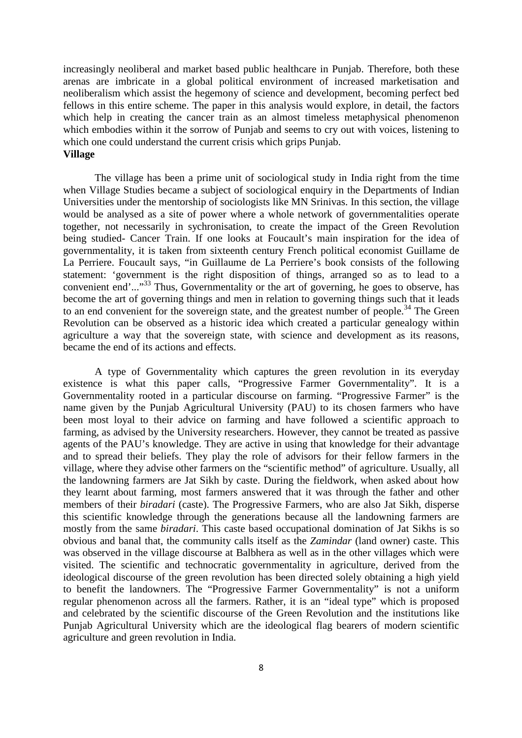increasingly neoliberal and market based public healthcare in Punjab. Therefore, both these arenas are imbricate in a global political environment of increased marketisation and neoliberalism which assist the hegemony of science and development, becoming perfect bed fellows in this entire scheme. The paper in this analysis would explore, in detail, the factors which help in creating the cancer train as an almost timeless metaphysical phenomenon which embodies within it the sorrow of Punjab and seems to cry out with voices, listening to which one could understand the current crisis which grips Punjab. **Village** 

 The village has been a prime unit of sociological study in India right from the time when Village Studies became a subject of sociological enquiry in the Departments of Indian Universities under the mentorship of sociologists like MN Srinivas. In this section, the village would be analysed as a site of power where a whole network of governmentalities operate together, not necessarily in sychronisation, to create the impact of the Green Revolution being studied- Cancer Train. If one looks at Foucault's main inspiration for the idea of governmentality, it is taken from sixteenth century French political economist Guillame de La Perriere. Foucault says, "in Guillaume de La Perriere's book consists of the following statement: 'government is the right disposition of things, arranged so as to lead to a convenient end'..."<sup>33</sup> Thus, Governmentality or the art of governing, he goes to observe, has become the art of governing things and men in relation to governing things such that it leads to an end convenient for the sovereign state, and the greatest number of people.<sup>34</sup> The Green Revolution can be observed as a historic idea which created a particular genealogy within agriculture a way that the sovereign state, with science and development as its reasons, became the end of its actions and effects.

 A type of Governmentality which captures the green revolution in its everyday existence is what this paper calls, "Progressive Farmer Governmentality". It is a Governmentality rooted in a particular discourse on farming. "Progressive Farmer" is the name given by the Punjab Agricultural University (PAU) to its chosen farmers who have been most loyal to their advice on farming and have followed a scientific approach to farming, as advised by the University researchers. However, they cannot be treated as passive agents of the PAU's knowledge. They are active in using that knowledge for their advantage and to spread their beliefs. They play the role of advisors for their fellow farmers in the village, where they advise other farmers on the "scientific method" of agriculture. Usually, all the landowning farmers are Jat Sikh by caste. During the fieldwork, when asked about how they learnt about farming, most farmers answered that it was through the father and other members of their *biradari* (caste). The Progressive Farmers, who are also Jat Sikh, disperse this scientific knowledge through the generations because all the landowning farmers are mostly from the same *biradari*. This caste based occupational domination of Jat Sikhs is so obvious and banal that, the community calls itself as the *Zamindar* (land owner) caste. This was observed in the village discourse at Balbhera as well as in the other villages which were visited. The scientific and technocratic governmentality in agriculture, derived from the ideological discourse of the green revolution has been directed solely obtaining a high yield to benefit the landowners. The "Progressive Farmer Governmentality" is not a uniform regular phenomenon across all the farmers. Rather, it is an "ideal type" which is proposed and celebrated by the scientific discourse of the Green Revolution and the institutions like Punjab Agricultural University which are the ideological flag bearers of modern scientific agriculture and green revolution in India.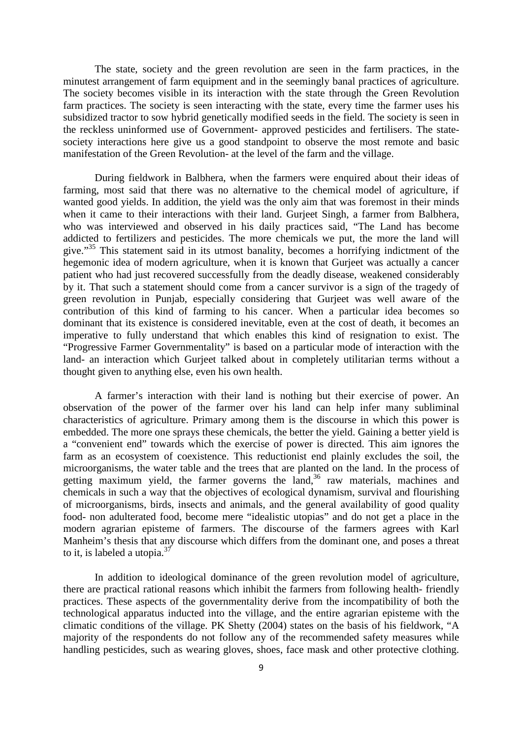The state, society and the green revolution are seen in the farm practices, in the minutest arrangement of farm equipment and in the seemingly banal practices of agriculture. The society becomes visible in its interaction with the state through the Green Revolution farm practices. The society is seen interacting with the state, every time the farmer uses his subsidized tractor to sow hybrid genetically modified seeds in the field. The society is seen in the reckless uninformed use of Government- approved pesticides and fertilisers. The statesociety interactions here give us a good standpoint to observe the most remote and basic manifestation of the Green Revolution- at the level of the farm and the village.

 During fieldwork in Balbhera, when the farmers were enquired about their ideas of farming, most said that there was no alternative to the chemical model of agriculture, if wanted good yields. In addition, the yield was the only aim that was foremost in their minds when it came to their interactions with their land. Gurjeet Singh, a farmer from Balbhera, who was interviewed and observed in his daily practices said, "The Land has become addicted to fertilizers and pesticides. The more chemicals we put, the more the land will give."<sup>35</sup> This statement said in its utmost banality, becomes a horrifying indictment of the hegemonic idea of modern agriculture, when it is known that Gurjeet was actually a cancer patient who had just recovered successfully from the deadly disease, weakened considerably by it. That such a statement should come from a cancer survivor is a sign of the tragedy of green revolution in Punjab, especially considering that Gurjeet was well aware of the contribution of this kind of farming to his cancer. When a particular idea becomes so dominant that its existence is considered inevitable, even at the cost of death, it becomes an imperative to fully understand that which enables this kind of resignation to exist. The "Progressive Farmer Governmentality" is based on a particular mode of interaction with the land- an interaction which Gurjeet talked about in completely utilitarian terms without a thought given to anything else, even his own health.

 A farmer's interaction with their land is nothing but their exercise of power. An observation of the power of the farmer over his land can help infer many subliminal characteristics of agriculture. Primary among them is the discourse in which this power is embedded. The more one sprays these chemicals, the better the yield. Gaining a better yield is a "convenient end" towards which the exercise of power is directed. This aim ignores the farm as an ecosystem of coexistence. This reductionist end plainly excludes the soil, the microorganisms, the water table and the trees that are planted on the land. In the process of getting maximum yield, the farmer governs the land,<sup>36</sup> raw materials, machines and chemicals in such a way that the objectives of ecological dynamism, survival and flourishing of microorganisms, birds, insects and animals, and the general availability of good quality food- non adulterated food, become mere "idealistic utopias" and do not get a place in the modern agrarian episteme of farmers. The discourse of the farmers agrees with Karl Manheim's thesis that any discourse which differs from the dominant one, and poses a threat to it, is labeled a utopia. $37$ 

 In addition to ideological dominance of the green revolution model of agriculture, there are practical rational reasons which inhibit the farmers from following health- friendly practices. These aspects of the governmentality derive from the incompatibility of both the technological apparatus inducted into the village, and the entire agrarian episteme with the climatic conditions of the village. PK Shetty (2004) states on the basis of his fieldwork, "A majority of the respondents do not follow any of the recommended safety measures while handling pesticides, such as wearing gloves, shoes, face mask and other protective clothing.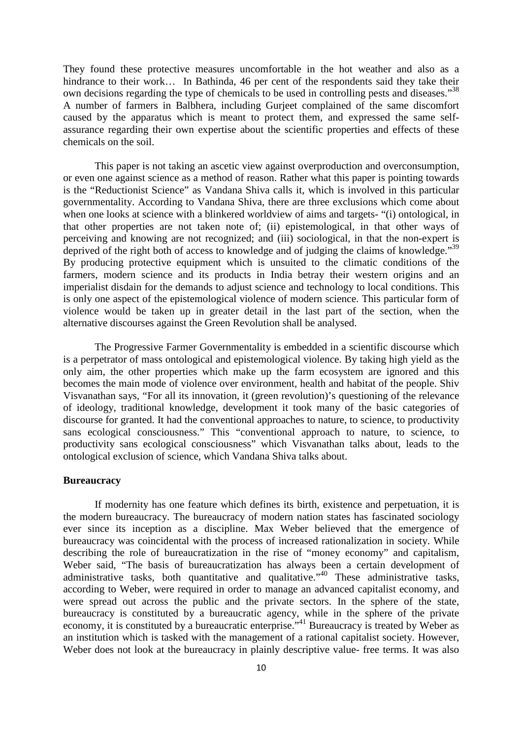They found these protective measures uncomfortable in the hot weather and also as a hindrance to their work... In Bathinda, 46 per cent of the respondents said they take their own decisions regarding the type of chemicals to be used in controlling pests and diseases."<sup>38</sup> A number of farmers in Balbhera, including Gurjeet complained of the same discomfort caused by the apparatus which is meant to protect them, and expressed the same selfassurance regarding their own expertise about the scientific properties and effects of these chemicals on the soil.

 This paper is not taking an ascetic view against overproduction and overconsumption, or even one against science as a method of reason. Rather what this paper is pointing towards is the "Reductionist Science" as Vandana Shiva calls it, which is involved in this particular governmentality. According to Vandana Shiva, there are three exclusions which come about when one looks at science with a blinkered worldview of aims and targets- "(i) ontological, in that other properties are not taken note of; (ii) epistemological, in that other ways of perceiving and knowing are not recognized; and (iii) sociological, in that the non-expert is deprived of the right both of access to knowledge and of judging the claims of knowledge."<sup>39</sup> By producing protective equipment which is unsuited to the climatic conditions of the farmers, modern science and its products in India betray their western origins and an imperialist disdain for the demands to adjust science and technology to local conditions. This is only one aspect of the epistemological violence of modern science. This particular form of violence would be taken up in greater detail in the last part of the section, when the alternative discourses against the Green Revolution shall be analysed.

 The Progressive Farmer Governmentality is embedded in a scientific discourse which is a perpetrator of mass ontological and epistemological violence. By taking high yield as the only aim, the other properties which make up the farm ecosystem are ignored and this becomes the main mode of violence over environment, health and habitat of the people. Shiv Visvanathan says, "For all its innovation, it (green revolution)'s questioning of the relevance of ideology, traditional knowledge, development it took many of the basic categories of discourse for granted. It had the conventional approaches to nature, to science, to productivity sans ecological consciousness." This "conventional approach to nature, to science, to productivity sans ecological consciousness" which Visvanathan talks about, leads to the ontological exclusion of science, which Vandana Shiva talks about.

#### **Bureaucracy**

 If modernity has one feature which defines its birth, existence and perpetuation, it is the modern bureaucracy. The bureaucracy of modern nation states has fascinated sociology ever since its inception as a discipline. Max Weber believed that the emergence of bureaucracy was coincidental with the process of increased rationalization in society. While describing the role of bureaucratization in the rise of "money economy" and capitalism, Weber said, "The basis of bureaucratization has always been a certain development of administrative tasks, both quantitative and qualitative.<sup>40</sup> These administrative tasks, according to Weber, were required in order to manage an advanced capitalist economy, and were spread out across the public and the private sectors. In the sphere of the state, bureaucracy is constituted by a bureaucratic agency, while in the sphere of the private economy, it is constituted by a bureaucratic enterprise."<sup>41</sup> Bureaucracy is treated by Weber as an institution which is tasked with the management of a rational capitalist society. However, Weber does not look at the bureaucracy in plainly descriptive value- free terms. It was also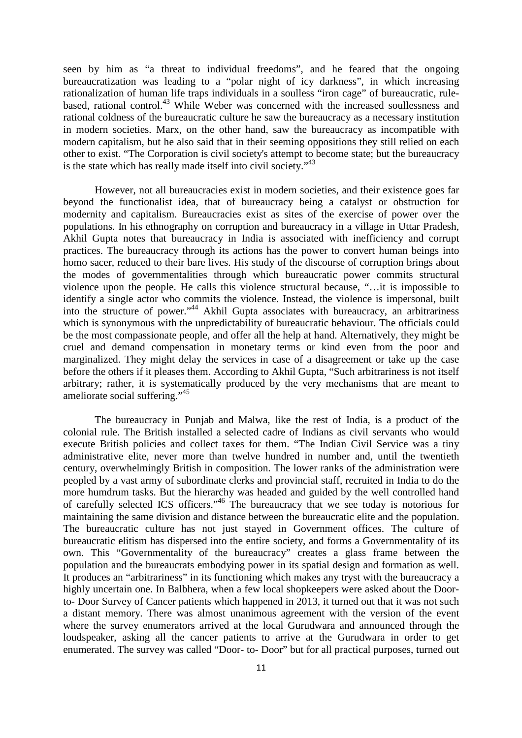seen by him as "a threat to individual freedoms", and he feared that the ongoing bureaucratization was leading to a "polar night of icy darkness", in which increasing rationalization of human life traps individuals in a soulless "iron cage" of bureaucratic, rulebased, rational control.<sup>43</sup> While Weber was concerned with the increased soullessness and rational coldness of the bureaucratic culture he saw the bureaucracy as a necessary institution in modern societies. Marx, on the other hand, saw the bureaucracy as incompatible with modern capitalism, but he also said that in their seeming oppositions they still relied on each other to exist. "The Corporation is civil society's attempt to become state; but the bureaucracy is the state which has really made itself into civil society."<sup>43</sup>

 However, not all bureaucracies exist in modern societies, and their existence goes far beyond the functionalist idea, that of bureaucracy being a catalyst or obstruction for modernity and capitalism. Bureaucracies exist as sites of the exercise of power over the populations. In his ethnography on corruption and bureaucracy in a village in Uttar Pradesh, Akhil Gupta notes that bureaucracy in India is associated with inefficiency and corrupt practices. The bureaucracy through its actions has the power to convert human beings into homo sacer, reduced to their bare lives. His study of the discourse of corruption brings about the modes of governmentalities through which bureaucratic power commits structural violence upon the people. He calls this violence structural because, "…it is impossible to identify a single actor who commits the violence. Instead, the violence is impersonal, built into the structure of power."<sup>44</sup> Akhil Gupta associates with bureaucracy, an arbitrariness which is synonymous with the unpredictability of bureaucratic behaviour. The officials could be the most compassionate people, and offer all the help at hand. Alternatively, they might be cruel and demand compensation in monetary terms or kind even from the poor and marginalized. They might delay the services in case of a disagreement or take up the case before the others if it pleases them. According to Akhil Gupta, "Such arbitrariness is not itself arbitrary; rather, it is systematically produced by the very mechanisms that are meant to ameliorate social suffering."<sup>45</sup>

 The bureaucracy in Punjab and Malwa, like the rest of India, is a product of the colonial rule. The British installed a selected cadre of Indians as civil servants who would execute British policies and collect taxes for them. "The Indian Civil Service was a tiny administrative elite, never more than twelve hundred in number and, until the twentieth century, overwhelmingly British in composition. The lower ranks of the administration were peopled by a vast army of subordinate clerks and provincial staff, recruited in India to do the more humdrum tasks. But the hierarchy was headed and guided by the well controlled hand of carefully selected ICS officers."<sup>46</sup> The bureaucracy that we see today is notorious for maintaining the same division and distance between the bureaucratic elite and the population. The bureaucratic culture has not just stayed in Government offices. The culture of bureaucratic elitism has dispersed into the entire society, and forms a Governmentality of its own. This "Governmentality of the bureaucracy" creates a glass frame between the population and the bureaucrats embodying power in its spatial design and formation as well. It produces an "arbitrariness" in its functioning which makes any tryst with the bureaucracy a highly uncertain one. In Balbhera, when a few local shopkeepers were asked about the Doorto- Door Survey of Cancer patients which happened in 2013, it turned out that it was not such a distant memory. There was almost unanimous agreement with the version of the event where the survey enumerators arrived at the local Gurudwara and announced through the loudspeaker, asking all the cancer patients to arrive at the Gurudwara in order to get enumerated. The survey was called "Door- to- Door" but for all practical purposes, turned out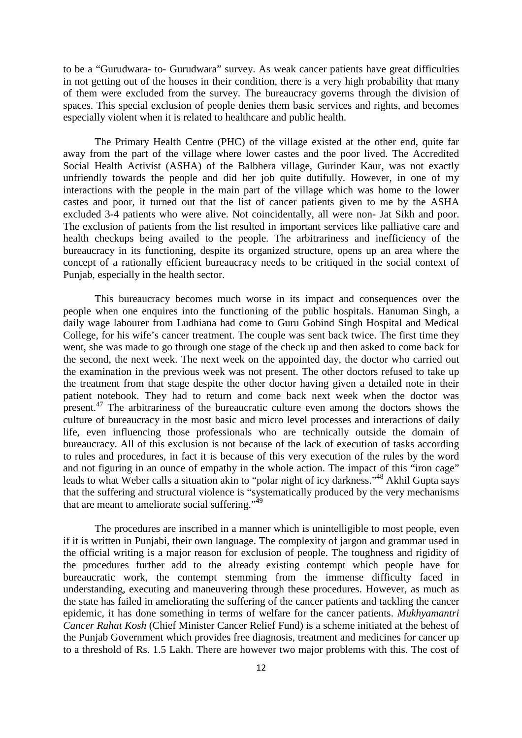to be a "Gurudwara- to- Gurudwara" survey. As weak cancer patients have great difficulties in not getting out of the houses in their condition, there is a very high probability that many of them were excluded from the survey. The bureaucracy governs through the division of spaces. This special exclusion of people denies them basic services and rights, and becomes especially violent when it is related to healthcare and public health.

 The Primary Health Centre (PHC) of the village existed at the other end, quite far away from the part of the village where lower castes and the poor lived. The Accredited Social Health Activist (ASHA) of the Balbhera village, Gurinder Kaur, was not exactly unfriendly towards the people and did her job quite dutifully. However, in one of my interactions with the people in the main part of the village which was home to the lower castes and poor, it turned out that the list of cancer patients given to me by the ASHA excluded 3-4 patients who were alive. Not coincidentally, all were non- Jat Sikh and poor. The exclusion of patients from the list resulted in important services like palliative care and health checkups being availed to the people. The arbitrariness and inefficiency of the bureaucracy in its functioning, despite its organized structure, opens up an area where the concept of a rationally efficient bureaucracy needs to be critiqued in the social context of Punjab, especially in the health sector.

 This bureaucracy becomes much worse in its impact and consequences over the people when one enquires into the functioning of the public hospitals. Hanuman Singh, a daily wage labourer from Ludhiana had come to Guru Gobind Singh Hospital and Medical College, for his wife's cancer treatment. The couple was sent back twice. The first time they went, she was made to go through one stage of the check up and then asked to come back for the second, the next week. The next week on the appointed day, the doctor who carried out the examination in the previous week was not present. The other doctors refused to take up the treatment from that stage despite the other doctor having given a detailed note in their patient notebook. They had to return and come back next week when the doctor was present.<sup>47</sup> The arbitrariness of the bureaucratic culture even among the doctors shows the culture of bureaucracy in the most basic and micro level processes and interactions of daily life, even influencing those professionals who are technically outside the domain of bureaucracy. All of this exclusion is not because of the lack of execution of tasks according to rules and procedures, in fact it is because of this very execution of the rules by the word and not figuring in an ounce of empathy in the whole action. The impact of this "iron cage" leads to what Weber calls a situation akin to "polar night of icy darkness."<sup>48</sup> Akhil Gupta says that the suffering and structural violence is "systematically produced by the very mechanisms that are meant to ameliorate social suffering." $49$ 

 The procedures are inscribed in a manner which is unintelligible to most people, even if it is written in Punjabi, their own language. The complexity of jargon and grammar used in the official writing is a major reason for exclusion of people. The toughness and rigidity of the procedures further add to the already existing contempt which people have for bureaucratic work, the contempt stemming from the immense difficulty faced in understanding, executing and maneuvering through these procedures. However, as much as the state has failed in ameliorating the suffering of the cancer patients and tackling the cancer epidemic, it has done something in terms of welfare for the cancer patients. *Mukhyamantri Cancer Rahat Kosh* (Chief Minister Cancer Relief Fund) is a scheme initiated at the behest of the Punjab Government which provides free diagnosis, treatment and medicines for cancer up to a threshold of Rs. 1.5 Lakh. There are however two major problems with this. The cost of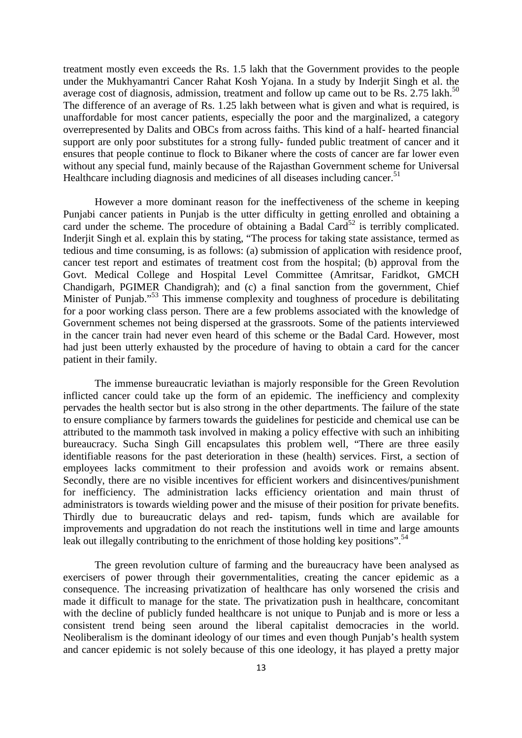treatment mostly even exceeds the Rs. 1.5 lakh that the Government provides to the people under the Mukhyamantri Cancer Rahat Kosh Yojana. In a study by Inderjit Singh et al. the average cost of diagnosis, admission, treatment and follow up came out to be Rs.  $2.75$  lakh.<sup>50</sup> The difference of an average of Rs. 1.25 lakh between what is given and what is required, is unaffordable for most cancer patients, especially the poor and the marginalized, a category overrepresented by Dalits and OBCs from across faiths. This kind of a half- hearted financial support are only poor substitutes for a strong fully- funded public treatment of cancer and it ensures that people continue to flock to Bikaner where the costs of cancer are far lower even without any special fund, mainly because of the Rajasthan Government scheme for Universal Healthcare including diagnosis and medicines of all diseases including cancer.<sup>51</sup>

 However a more dominant reason for the ineffectiveness of the scheme in keeping Punjabi cancer patients in Punjab is the utter difficulty in getting enrolled and obtaining a card under the scheme. The procedure of obtaining a Badal Card<sup>52</sup> is terribly complicated. Inderjit Singh et al. explain this by stating, "The process for taking state assistance, termed as tedious and time consuming, is as follows: (a) submission of application with residence proof, cancer test report and estimates of treatment cost from the hospital; (b) approval from the Govt. Medical College and Hospital Level Committee (Amritsar, Faridkot, GMCH Chandigarh, PGIMER Chandigrah); and (c) a final sanction from the government, Chief Minister of Punjab."<sup>53</sup> This immense complexity and toughness of procedure is debilitating for a poor working class person. There are a few problems associated with the knowledge of Government schemes not being dispersed at the grassroots. Some of the patients interviewed in the cancer train had never even heard of this scheme or the Badal Card. However, most had just been utterly exhausted by the procedure of having to obtain a card for the cancer patient in their family.

 The immense bureaucratic leviathan is majorly responsible for the Green Revolution inflicted cancer could take up the form of an epidemic. The inefficiency and complexity pervades the health sector but is also strong in the other departments. The failure of the state to ensure compliance by farmers towards the guidelines for pesticide and chemical use can be attributed to the mammoth task involved in making a policy effective with such an inhibiting bureaucracy. Sucha Singh Gill encapsulates this problem well, "There are three easily identifiable reasons for the past deterioration in these (health) services. First, a section of employees lacks commitment to their profession and avoids work or remains absent. Secondly, there are no visible incentives for efficient workers and disincentives/punishment for inefficiency. The administration lacks efficiency orientation and main thrust of administrators is towards wielding power and the misuse of their position for private benefits. Thirdly due to bureaucratic delays and red- tapism, funds which are available for improvements and upgradation do not reach the institutions well in time and large amounts leak out illegally contributing to the enrichment of those holding key positions".<sup>54</sup>

 The green revolution culture of farming and the bureaucracy have been analysed as exercisers of power through their governmentalities, creating the cancer epidemic as a consequence. The increasing privatization of healthcare has only worsened the crisis and made it difficult to manage for the state. The privatization push in healthcare, concomitant with the decline of publicly funded healthcare is not unique to Punjab and is more or less a consistent trend being seen around the liberal capitalist democracies in the world. Neoliberalism is the dominant ideology of our times and even though Punjab's health system and cancer epidemic is not solely because of this one ideology, it has played a pretty major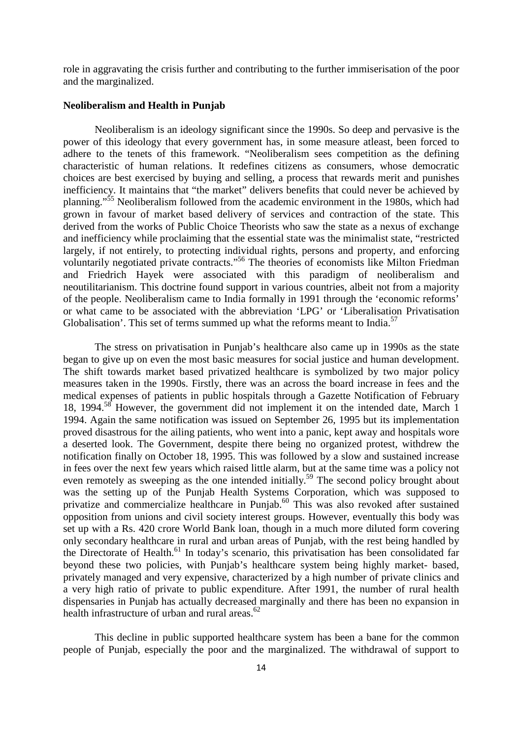role in aggravating the crisis further and contributing to the further immiserisation of the poor and the marginalized.

#### **Neoliberalism and Health in Punjab**

 Neoliberalism is an ideology significant since the 1990s. So deep and pervasive is the power of this ideology that every government has, in some measure atleast, been forced to adhere to the tenets of this framework. "Neoliberalism sees competition as the defining characteristic of human relations. It redefines citizens as consumers, whose democratic choices are best exercised by buying and selling, a process that rewards merit and punishes inefficiency. It maintains that "the market" delivers benefits that could never be achieved by planning."<sup>55</sup> Neoliberalism followed from the academic environment in the 1980s, which had grown in favour of market based delivery of services and contraction of the state. This derived from the works of Public Choice Theorists who saw the state as a nexus of exchange and inefficiency while proclaiming that the essential state was the minimalist state, "restricted largely, if not entirely, to protecting individual rights, persons and property, and enforcing voluntarily negotiated private contracts."<sup>56</sup> The theories of economists like Milton Friedman and Friedrich Hayek were associated with this paradigm of neoliberalism and neoutilitarianism. This doctrine found support in various countries, albeit not from a majority of the people. Neoliberalism came to India formally in 1991 through the 'economic reforms' or what came to be associated with the abbreviation 'LPG' or 'Liberalisation Privatisation Globalisation'. This set of terms summed up what the reforms meant to India.<sup>57</sup>

 The stress on privatisation in Punjab's healthcare also came up in 1990s as the state began to give up on even the most basic measures for social justice and human development. The shift towards market based privatized healthcare is symbolized by two major policy measures taken in the 1990s. Firstly, there was an across the board increase in fees and the medical expenses of patients in public hospitals through a Gazette Notification of February 18, 1994.<sup>58</sup> However, the government did not implement it on the intended date, March 1 1994. Again the same notification was issued on September 26, 1995 but its implementation proved disastrous for the ailing patients, who went into a panic, kept away and hospitals wore a deserted look. The Government, despite there being no organized protest, withdrew the notification finally on October 18, 1995. This was followed by a slow and sustained increase in fees over the next few years which raised little alarm, but at the same time was a policy not even remotely as sweeping as the one intended initially.<sup>59</sup> The second policy brought about was the setting up of the Punjab Health Systems Corporation, which was supposed to privatize and commercialize healthcare in Punjab.<sup>60</sup> This was also revoked after sustained opposition from unions and civil society interest groups. However, eventually this body was set up with a Rs. 420 crore World Bank loan, though in a much more diluted form covering only secondary healthcare in rural and urban areas of Punjab, with the rest being handled by the Directorate of Health.<sup>61</sup> In today's scenario, this privatisation has been consolidated far beyond these two policies, with Punjab's healthcare system being highly market- based, privately managed and very expensive, characterized by a high number of private clinics and a very high ratio of private to public expenditure. After 1991, the number of rural health dispensaries in Punjab has actually decreased marginally and there has been no expansion in health infrastructure of urban and rural areas.<sup>62</sup>

 This decline in public supported healthcare system has been a bane for the common people of Punjab, especially the poor and the marginalized. The withdrawal of support to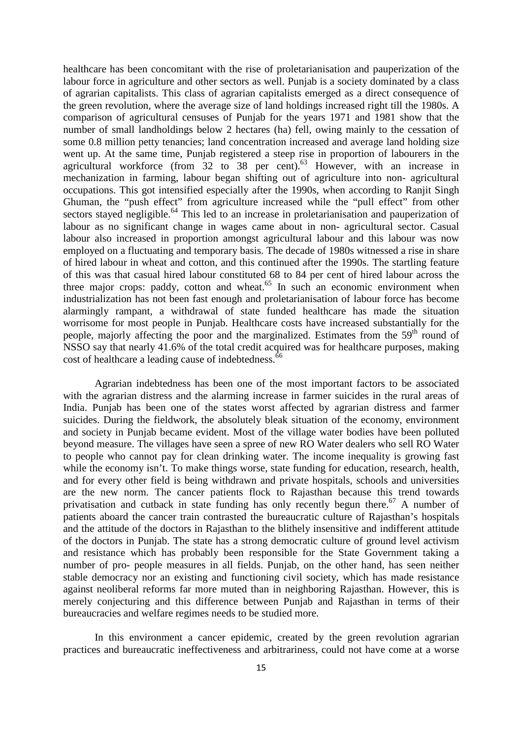healthcare has been concomitant with the rise of proletarianisation and pauperization of the labour force in agriculture and other sectors as well. Punjab is a society dominated by a class of agrarian capitalists. This class of agrarian capitalists emerged as a direct consequence of the green revolution, where the average size of land holdings increased right till the 1980s. A comparison of agricultural censuses of Punjab for the years 1971 and 1981 show that the number of small landholdings below 2 hectares (ha) fell, owing mainly to the cessation of some 0.8 million petty tenancies; land concentration increased and average land holding size went up. At the same time, Punjab registered a steep rise in proportion of labourers in the agricultural workforce (from  $32$  to  $38$  per cent).<sup>63</sup> However, with an increase in mechanization in farming, labour began shifting out of agriculture into non- agricultural occupations. This got intensified especially after the 1990s, when according to Ranjit Singh Ghuman, the "push effect" from agriculture increased while the "pull effect" from other sectors stayed negligible.<sup>64</sup> This led to an increase in proletarianisation and pauperization of labour as no significant change in wages came about in non- agricultural sector. Casual labour also increased in proportion amongst agricultural labour and this labour was now employed on a fluctuating and temporary basis. The decade of 1980s witnessed a rise in share of hired labour in wheat and cotton, and this continued after the 1990s. The startling feature of this was that casual hired labour constituted 68 to 84 per cent of hired labour across the three major crops: paddy, cotton and wheat.<sup>65</sup> In such an economic environment when industrialization has not been fast enough and proletarianisation of labour force has become alarmingly rampant, a withdrawal of state funded healthcare has made the situation worrisome for most people in Punjab. Healthcare costs have increased substantially for the people, majorly affecting the poor and the marginalized. Estimates from the 59<sup>th</sup> round of NSSO say that nearly 41.6% of the total credit acquired was for healthcare purposes, making cost of healthcare a leading cause of indebtedness.<sup>66</sup>

 Agrarian indebtedness has been one of the most important factors to be associated with the agrarian distress and the alarming increase in farmer suicides in the rural areas of India. Punjab has been one of the states worst affected by agrarian distress and farmer suicides. During the fieldwork, the absolutely bleak situation of the economy, environment and society in Punjab became evident. Most of the village water bodies have been polluted beyond measure. The villages have seen a spree of new RO Water dealers who sell RO Water to people who cannot pay for clean drinking water. The income inequality is growing fast while the economy isn't. To make things worse, state funding for education, research, health, and for every other field is being withdrawn and private hospitals, schools and universities are the new norm. The cancer patients flock to Rajasthan because this trend towards privatisation and cutback in state funding has only recently begun there.<sup>67</sup> A number of patients aboard the cancer train contrasted the bureaucratic culture of Rajasthan's hospitals and the attitude of the doctors in Rajasthan to the blithely insensitive and indifferent attitude of the doctors in Punjab. The state has a strong democratic culture of ground level activism and resistance which has probably been responsible for the State Government taking a number of pro- people measures in all fields. Punjab, on the other hand, has seen neither stable democracy nor an existing and functioning civil society, which has made resistance against neoliberal reforms far more muted than in neighboring Rajasthan. However, this is merely conjecturing and this difference between Punjab and Rajasthan in terms of their bureaucracies and welfare regimes needs to be studied more.

 In this environment a cancer epidemic, created by the green revolution agrarian practices and bureaucratic ineffectiveness and arbitrariness, could not have come at a worse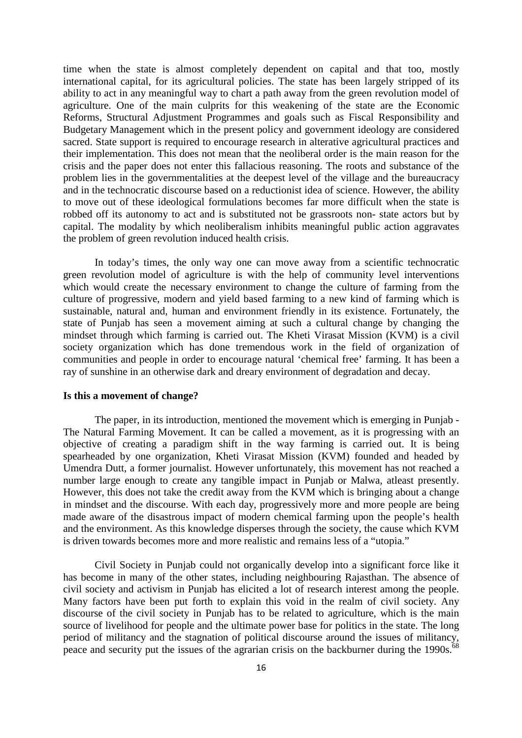time when the state is almost completely dependent on capital and that too, mostly international capital, for its agricultural policies. The state has been largely stripped of its ability to act in any meaningful way to chart a path away from the green revolution model of agriculture. One of the main culprits for this weakening of the state are the Economic Reforms, Structural Adjustment Programmes and goals such as Fiscal Responsibility and Budgetary Management which in the present policy and government ideology are considered sacred. State support is required to encourage research in alterative agricultural practices and their implementation. This does not mean that the neoliberal order is the main reason for the crisis and the paper does not enter this fallacious reasoning. The roots and substance of the problem lies in the governmentalities at the deepest level of the village and the bureaucracy and in the technocratic discourse based on a reductionist idea of science. However, the ability to move out of these ideological formulations becomes far more difficult when the state is robbed off its autonomy to act and is substituted not be grassroots non- state actors but by capital. The modality by which neoliberalism inhibits meaningful public action aggravates the problem of green revolution induced health crisis.

 In today's times, the only way one can move away from a scientific technocratic green revolution model of agriculture is with the help of community level interventions which would create the necessary environment to change the culture of farming from the culture of progressive, modern and yield based farming to a new kind of farming which is sustainable, natural and, human and environment friendly in its existence. Fortunately, the state of Punjab has seen a movement aiming at such a cultural change by changing the mindset through which farming is carried out. The Kheti Virasat Mission (KVM) is a civil society organization which has done tremendous work in the field of organization of communities and people in order to encourage natural 'chemical free' farming. It has been a ray of sunshine in an otherwise dark and dreary environment of degradation and decay.

#### **Is this a movement of change?**

 The paper, in its introduction, mentioned the movement which is emerging in Punjab - The Natural Farming Movement. It can be called a movement, as it is progressing with an objective of creating a paradigm shift in the way farming is carried out. It is being spearheaded by one organization, Kheti Virasat Mission (KVM) founded and headed by Umendra Dutt, a former journalist. However unfortunately, this movement has not reached a number large enough to create any tangible impact in Punjab or Malwa, atleast presently. However, this does not take the credit away from the KVM which is bringing about a change in mindset and the discourse. With each day, progressively more and more people are being made aware of the disastrous impact of modern chemical farming upon the people's health and the environment. As this knowledge disperses through the society, the cause which KVM is driven towards becomes more and more realistic and remains less of a "utopia."

 Civil Society in Punjab could not organically develop into a significant force like it has become in many of the other states, including neighbouring Rajasthan. The absence of civil society and activism in Punjab has elicited a lot of research interest among the people. Many factors have been put forth to explain this void in the realm of civil society. Any discourse of the civil society in Punjab has to be related to agriculture, which is the main source of livelihood for people and the ultimate power base for politics in the state. The long period of militancy and the stagnation of political discourse around the issues of militancy, peace and security put the issues of the agrarian crisis on the backburner during the 1990s.<sup>68</sup>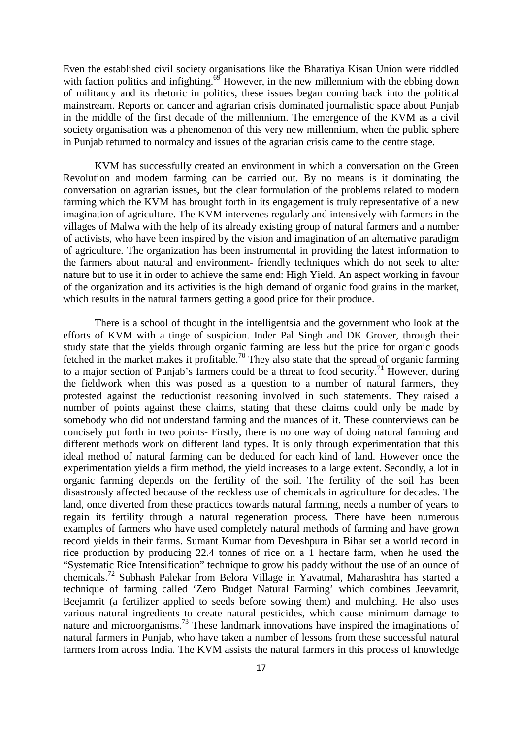Even the established civil society organisations like the Bharatiya Kisan Union were riddled with faction politics and infighting.<sup>69</sup> However, in the new millennium with the ebbing down of militancy and its rhetoric in politics, these issues began coming back into the political mainstream. Reports on cancer and agrarian crisis dominated journalistic space about Punjab in the middle of the first decade of the millennium. The emergence of the KVM as a civil society organisation was a phenomenon of this very new millennium, when the public sphere in Punjab returned to normalcy and issues of the agrarian crisis came to the centre stage.

 KVM has successfully created an environment in which a conversation on the Green Revolution and modern farming can be carried out. By no means is it dominating the conversation on agrarian issues, but the clear formulation of the problems related to modern farming which the KVM has brought forth in its engagement is truly representative of a new imagination of agriculture. The KVM intervenes regularly and intensively with farmers in the villages of Malwa with the help of its already existing group of natural farmers and a number of activists, who have been inspired by the vision and imagination of an alternative paradigm of agriculture. The organization has been instrumental in providing the latest information to the farmers about natural and environment- friendly techniques which do not seek to alter nature but to use it in order to achieve the same end: High Yield. An aspect working in favour of the organization and its activities is the high demand of organic food grains in the market, which results in the natural farmers getting a good price for their produce.

 There is a school of thought in the intelligentsia and the government who look at the efforts of KVM with a tinge of suspicion. Inder Pal Singh and DK Grover, through their study state that the yields through organic farming are less but the price for organic goods fetched in the market makes it profitable.<sup>70</sup> They also state that the spread of organic farming to a major section of Punjab's farmers could be a threat to food security.<sup>71</sup> However, during the fieldwork when this was posed as a question to a number of natural farmers, they protested against the reductionist reasoning involved in such statements. They raised a number of points against these claims, stating that these claims could only be made by somebody who did not understand farming and the nuances of it. These counterviews can be concisely put forth in two points- Firstly, there is no one way of doing natural farming and different methods work on different land types. It is only through experimentation that this ideal method of natural farming can be deduced for each kind of land. However once the experimentation yields a firm method, the yield increases to a large extent. Secondly, a lot in organic farming depends on the fertility of the soil. The fertility of the soil has been disastrously affected because of the reckless use of chemicals in agriculture for decades. The land, once diverted from these practices towards natural farming, needs a number of years to regain its fertility through a natural regeneration process. There have been numerous examples of farmers who have used completely natural methods of farming and have grown record yields in their farms. Sumant Kumar from Deveshpura in Bihar set a world record in rice production by producing 22.4 tonnes of rice on a 1 hectare farm, when he used the "Systematic Rice Intensification" technique to grow his paddy without the use of an ounce of chemicals.<sup>72</sup> Subhash Palekar from Belora Village in Yavatmal, Maharashtra has started a technique of farming called 'Zero Budget Natural Farming' which combines Jeevamrit, Beejamrit (a fertilizer applied to seeds before sowing them) and mulching. He also uses various natural ingredients to create natural pesticides, which cause minimum damage to nature and microorganisms.<sup>73</sup> These landmark innovations have inspired the imaginations of natural farmers in Punjab, who have taken a number of lessons from these successful natural farmers from across India. The KVM assists the natural farmers in this process of knowledge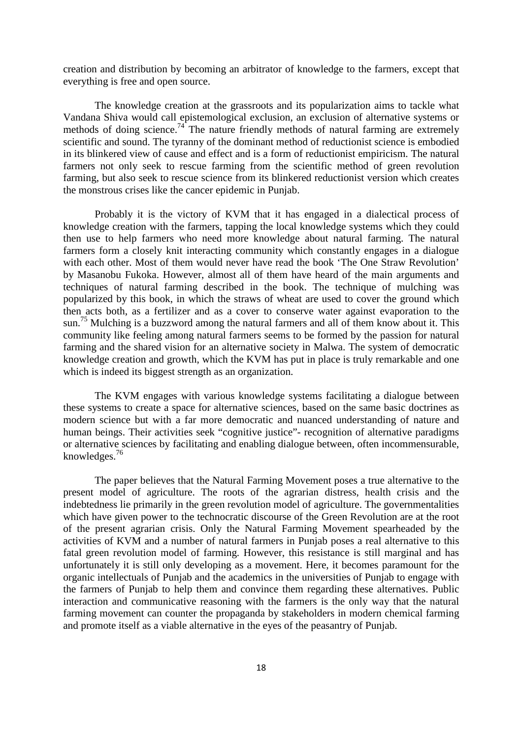creation and distribution by becoming an arbitrator of knowledge to the farmers, except that everything is free and open source.

 The knowledge creation at the grassroots and its popularization aims to tackle what Vandana Shiva would call epistemological exclusion, an exclusion of alternative systems or methods of doing science.<sup>74</sup> The nature friendly methods of natural farming are extremely scientific and sound. The tyranny of the dominant method of reductionist science is embodied in its blinkered view of cause and effect and is a form of reductionist empiricism. The natural farmers not only seek to rescue farming from the scientific method of green revolution farming, but also seek to rescue science from its blinkered reductionist version which creates the monstrous crises like the cancer epidemic in Punjab.

 Probably it is the victory of KVM that it has engaged in a dialectical process of knowledge creation with the farmers, tapping the local knowledge systems which they could then use to help farmers who need more knowledge about natural farming. The natural farmers form a closely knit interacting community which constantly engages in a dialogue with each other. Most of them would never have read the book 'The One Straw Revolution' by Masanobu Fukoka. However, almost all of them have heard of the main arguments and techniques of natural farming described in the book. The technique of mulching was popularized by this book, in which the straws of wheat are used to cover the ground which then acts both, as a fertilizer and as a cover to conserve water against evaporation to the sun.<sup>75</sup> Mulching is a buzzword among the natural farmers and all of them know about it. This community like feeling among natural farmers seems to be formed by the passion for natural farming and the shared vision for an alternative society in Malwa. The system of democratic knowledge creation and growth, which the KVM has put in place is truly remarkable and one which is indeed its biggest strength as an organization.

 The KVM engages with various knowledge systems facilitating a dialogue between these systems to create a space for alternative sciences, based on the same basic doctrines as modern science but with a far more democratic and nuanced understanding of nature and human beings. Their activities seek "cognitive justice"- recognition of alternative paradigms or alternative sciences by facilitating and enabling dialogue between, often incommensurable, knowledges.<sup>76</sup>

 The paper believes that the Natural Farming Movement poses a true alternative to the present model of agriculture. The roots of the agrarian distress, health crisis and the indebtedness lie primarily in the green revolution model of agriculture. The governmentalities which have given power to the technocratic discourse of the Green Revolution are at the root of the present agrarian crisis. Only the Natural Farming Movement spearheaded by the activities of KVM and a number of natural farmers in Punjab poses a real alternative to this fatal green revolution model of farming. However, this resistance is still marginal and has unfortunately it is still only developing as a movement. Here, it becomes paramount for the organic intellectuals of Punjab and the academics in the universities of Punjab to engage with the farmers of Punjab to help them and convince them regarding these alternatives. Public interaction and communicative reasoning with the farmers is the only way that the natural farming movement can counter the propaganda by stakeholders in modern chemical farming and promote itself as a viable alternative in the eyes of the peasantry of Punjab.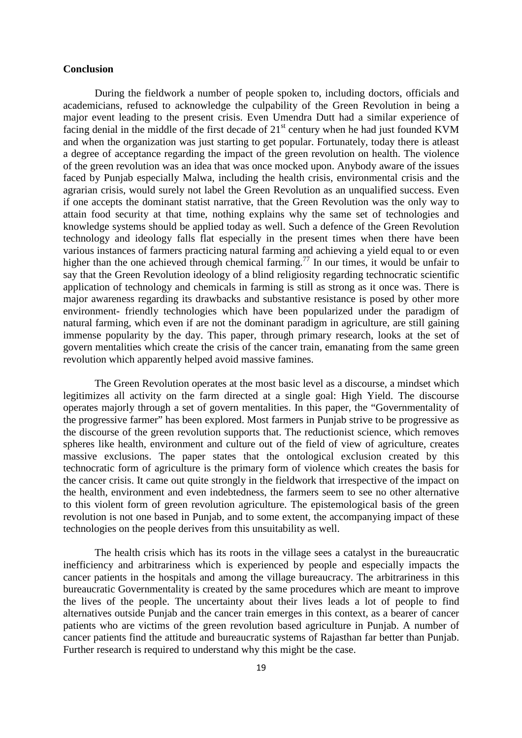#### **Conclusion**

 During the fieldwork a number of people spoken to, including doctors, officials and academicians, refused to acknowledge the culpability of the Green Revolution in being a major event leading to the present crisis. Even Umendra Dutt had a similar experience of facing denial in the middle of the first decade of  $21<sup>st</sup>$  century when he had just founded KVM and when the organization was just starting to get popular. Fortunately, today there is atleast a degree of acceptance regarding the impact of the green revolution on health. The violence of the green revolution was an idea that was once mocked upon. Anybody aware of the issues faced by Punjab especially Malwa, including the health crisis, environmental crisis and the agrarian crisis, would surely not label the Green Revolution as an unqualified success. Even if one accepts the dominant statist narrative, that the Green Revolution was the only way to attain food security at that time, nothing explains why the same set of technologies and knowledge systems should be applied today as well. Such a defence of the Green Revolution technology and ideology falls flat especially in the present times when there have been various instances of farmers practicing natural farming and achieving a yield equal to or even higher than the one achieved through chemical farming.<sup>77</sup> In our times, it would be unfair to say that the Green Revolution ideology of a blind religiosity regarding technocratic scientific application of technology and chemicals in farming is still as strong as it once was. There is major awareness regarding its drawbacks and substantive resistance is posed by other more environment- friendly technologies which have been popularized under the paradigm of natural farming, which even if are not the dominant paradigm in agriculture, are still gaining immense popularity by the day. This paper, through primary research, looks at the set of govern mentalities which create the crisis of the cancer train, emanating from the same green revolution which apparently helped avoid massive famines.

 The Green Revolution operates at the most basic level as a discourse, a mindset which legitimizes all activity on the farm directed at a single goal: High Yield. The discourse operates majorly through a set of govern mentalities. In this paper, the "Governmentality of the progressive farmer" has been explored. Most farmers in Punjab strive to be progressive as the discourse of the green revolution supports that. The reductionist science, which removes spheres like health, environment and culture out of the field of view of agriculture, creates massive exclusions. The paper states that the ontological exclusion created by this technocratic form of agriculture is the primary form of violence which creates the basis for the cancer crisis. It came out quite strongly in the fieldwork that irrespective of the impact on the health, environment and even indebtedness, the farmers seem to see no other alternative to this violent form of green revolution agriculture. The epistemological basis of the green revolution is not one based in Punjab, and to some extent, the accompanying impact of these technologies on the people derives from this unsuitability as well.

 The health crisis which has its roots in the village sees a catalyst in the bureaucratic inefficiency and arbitrariness which is experienced by people and especially impacts the cancer patients in the hospitals and among the village bureaucracy. The arbitrariness in this bureaucratic Governmentality is created by the same procedures which are meant to improve the lives of the people. The uncertainty about their lives leads a lot of people to find alternatives outside Punjab and the cancer train emerges in this context, as a bearer of cancer patients who are victims of the green revolution based agriculture in Punjab. A number of cancer patients find the attitude and bureaucratic systems of Rajasthan far better than Punjab. Further research is required to understand why this might be the case.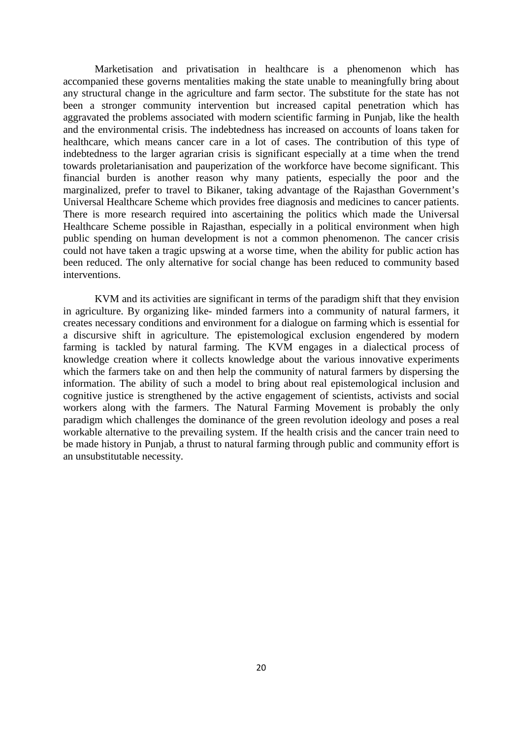Marketisation and privatisation in healthcare is a phenomenon which has accompanied these governs mentalities making the state unable to meaningfully bring about any structural change in the agriculture and farm sector. The substitute for the state has not been a stronger community intervention but increased capital penetration which has aggravated the problems associated with modern scientific farming in Punjab, like the health and the environmental crisis. The indebtedness has increased on accounts of loans taken for healthcare, which means cancer care in a lot of cases. The contribution of this type of indebtedness to the larger agrarian crisis is significant especially at a time when the trend towards proletarianisation and pauperization of the workforce have become significant. This financial burden is another reason why many patients, especially the poor and the marginalized, prefer to travel to Bikaner, taking advantage of the Rajasthan Government's Universal Healthcare Scheme which provides free diagnosis and medicines to cancer patients. There is more research required into ascertaining the politics which made the Universal Healthcare Scheme possible in Rajasthan, especially in a political environment when high public spending on human development is not a common phenomenon. The cancer crisis could not have taken a tragic upswing at a worse time, when the ability for public action has been reduced. The only alternative for social change has been reduced to community based interventions.

 KVM and its activities are significant in terms of the paradigm shift that they envision in agriculture. By organizing like- minded farmers into a community of natural farmers, it creates necessary conditions and environment for a dialogue on farming which is essential for a discursive shift in agriculture. The epistemological exclusion engendered by modern farming is tackled by natural farming. The KVM engages in a dialectical process of knowledge creation where it collects knowledge about the various innovative experiments which the farmers take on and then help the community of natural farmers by dispersing the information. The ability of such a model to bring about real epistemological inclusion and cognitive justice is strengthened by the active engagement of scientists, activists and social workers along with the farmers. The Natural Farming Movement is probably the only paradigm which challenges the dominance of the green revolution ideology and poses a real workable alternative to the prevailing system. If the health crisis and the cancer train need to be made history in Punjab, a thrust to natural farming through public and community effort is an unsubstitutable necessity.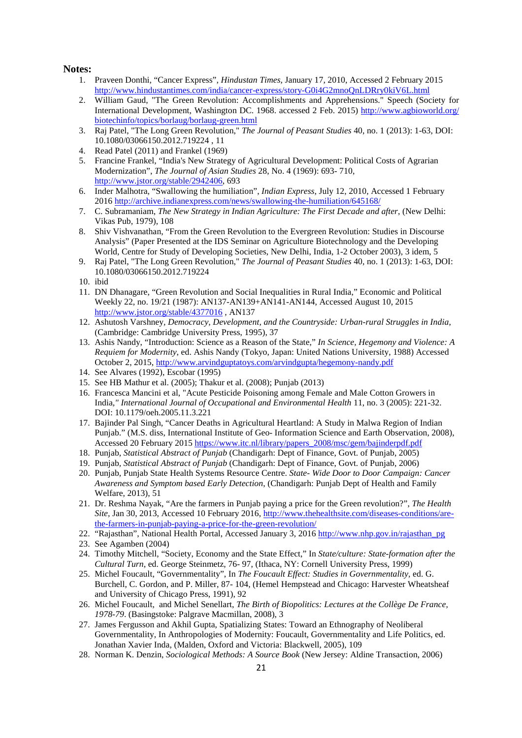#### **Notes:**

- 1. Praveen Donthi, "Cancer Express", *Hindustan Times*, January 17, 2010, Accessed 2 February 2015 http://www.hindustantimes.com/india/cancer-express/story-G0i4G2mnoQnLDRry0kiV6L.html
- 2. William Gaud, "The Green Revolution: Accomplishments and Apprehensions." Speech (Society for International Development, Washington DC. 1968. accessed 2 Feb. 2015) http://www.agbioworld.org/ biotechinfo/topics/borlaug/borlaug-green.html
- 3. Raj Patel, "The Long Green Revolution," *The Journal of Peasant Studies* 40, no. 1 (2013): 1-63, DOI: 10.1080/03066150.2012.719224 , 11
- 4. Read Patel (2011) and Frankel (1969)
- 5. Francine Frankel, "India's New Strategy of Agricultural Development: Political Costs of Agrarian Modernization", *The Journal of Asian Studies* 28, No. 4 (1969): 693- 710, http://www.jstor.org/stable/2942406, 693
- 6. Inder Malhotra, "Swallowing the humiliation", *Indian Express*, July 12, 2010, Accessed 1 February 2016 http://archive.indianexpress.com/news/swallowing-the-humiliation/645168/
- 7. C. Subramaniam, *The New Strategy in Indian Agriculture: The First Decade and after*, (New Delhi: Vikas Pub, 1979), 108
- 8. Shiv Vishvanathan, "From the Green Revolution to the Evergreen Revolution: Studies in Discourse Analysis" (Paper Presented at the IDS Seminar on Agriculture Biotechnology and the Developing World, Centre for Study of Developing Societies, New Delhi, India, 1-2 October 2003), 3 idem, 5
- 9. Raj Patel, "The Long Green Revolution," *The Journal of Peasant Studies* 40, no. 1 (2013): 1-63, DOI: 10.1080/03066150.2012.719224
- 10. ibid
- 11. DN Dhanagare, "Green Revolution and Social Inequalities in Rural India," Economic and Political Weekly 22, no. 19/21 (1987): AN137-AN139+AN141-AN144, Accessed August 10, 2015 http://www.jstor.org/stable/4377016 , AN137
- 12. Ashutosh Varshney*, Democracy, Development, and the Countryside: Urban-rural Struggles in India*, (Cambridge: Cambridge University Press, 1995), 37
- 13. Ashis Nandy, "Introduction: Science as a Reason of the State," *In Science, Hegemony and Violence: A Requiem for Modernity*, ed. Ashis Nandy (Tokyo, Japan: United Nations University, 1988) Accessed October 2, 2015, http://www.arvindguptatoys.com/arvindgupta/hegemony-nandy.pdf
- 14. See Alvares (1992), Escobar (1995)
- 15. See HB Mathur et al. (2005); Thakur et al. (2008); Punjab (2013)
- 16. Francesca Mancini et al, "Acute Pesticide Poisoning among Female and Male Cotton Growers in India*," International Journal of Occupational and Environmental Health* 11, no. 3 (2005): 221-32. DOI: 10.1179/oeh.2005.11.3.221
- 17. Bajinder Pal Singh, "Cancer Deaths in Agricultural Heartland: A Study in Malwa Region of Indian Punjab." (M.S. diss, International Institute of Geo- Information Science and Earth Observation, 2008), Accessed 20 February 2015 https://www.itc.nl/library/papers\_2008/msc/gem/bajinderpdf.pdf
- 18. Punjab, *Statistical Abstract of Punjab* (Chandigarh: Dept of Finance, Govt. of Punjab, 2005)
- 19. Punjab*, Statistical Abstract of Punjab* (Chandigarh: Dept of Finance, Govt. of Punjab, 2006)
- 20. Punjab, Punjab State Health Systems Resource Centre. *State- Wide Door to Door Campaign: Cancer Awareness and Symptom based Early Detection*, (Chandigarh: Punjab Dept of Health and Family Welfare, 2013), 51
- 21. Dr. Reshma Nayak, "Are the farmers in Punjab paying a price for the Green revolution?", *The Health Site,* Jan 30, 2013, Accessed 10 February 2016, http://www.thehealthsite.com/diseases-conditions/arethe-farmers-in-punjab-paying-a-price-for-the-green-revolution/
- 22. "Rajasthan", National Health Portal, Accessed January 3, 2016 http://www.nhp.gov.in/rajasthan\_pg
- 23. See Agamben (2004)
- 24. Timothy Mitchell, "Society, Economy and the State Effect," In *State/culture: State-formation after the Cultural Turn*, ed. George Steinmetz, 76- 97, (Ithaca, NY: Cornell University Press, 1999)
- 25. Michel Foucault, "Governmentality", In *The Foucault Effect: Studies in Governmentality,* ed. G. Burchell, C. Gordon, and P. Miller, 87- 104, (Hemel Hempstead and Chicago: Harvester Wheatsheaf and University of Chicago Press, 1991), 92
- 26. Michel Foucault, and Michel Senellart, *The Birth of Biopolitics: Lectures at the Collège De France, 1978-79*. (Basingstoke: Palgrave Macmillan, 2008), 3
- 27. James Fergusson and Akhil Gupta, Spatializing States: Toward an Ethnography of Neoliberal Governmentality, In Anthropologies of Modernity: Foucault, Governmentality and Life Politics, ed. Jonathan Xavier Inda, (Malden, Oxford and Victoria: Blackwell, 2005), 109
- 28. Norman K. Denzin, *Sociological Methods: A Source Book* (New Jersey: Aldine Transaction, 2006)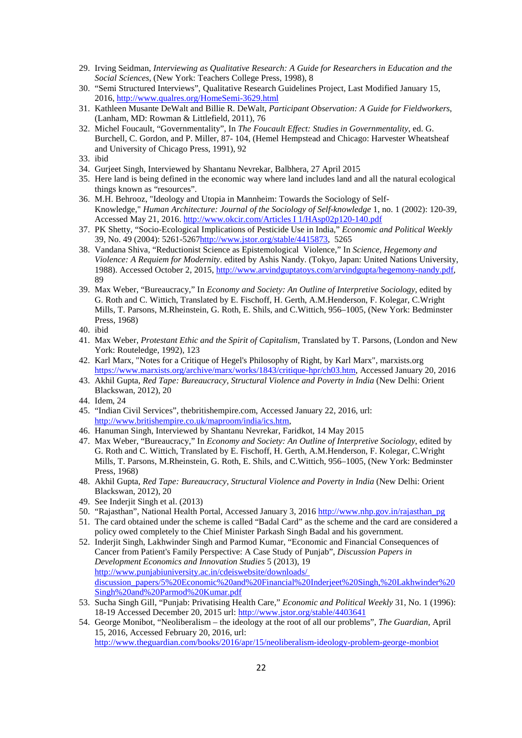- 29. Irving Seidman, *Interviewing as Qualitative Research: A Guide for Researchers in Education and the Social Sciences*, (New York: Teachers College Press, 1998), 8
- 30. "Semi Structured Interviews", Qualitative Research Guidelines Project, Last Modified January 15, 2016, http://www.qualres.org/HomeSemi-3629.html
- 31. Kathleen Musante DeWalt and Billie R. DeWalt, *Participant Observation: A Guide for Fieldworkers*, (Lanham, MD: Rowman & Littlefield, 2011), 76
- 32. Michel Foucault, "Governmentality", In *The Foucault Effect: Studies in Governmentality*, ed. G. Burchell, C. Gordon, and P. Miller, 87- 104, (Hemel Hempstead and Chicago: Harvester Wheatsheaf and University of Chicago Press, 1991), 92
- 33. ibid
- 34. Gurjeet Singh, Interviewed by Shantanu Nevrekar, Balbhera, 27 April 2015
- 35. Here land is being defined in the economic way where land includes land and all the natural ecological things known as "resources".
- 36. M.H. Behrooz, "Ideology and Utopia in Mannheim: Towards the Sociology of Self-Knowledge," *Human Architecture: Journal of the Sociology of Self-knowledge* 1, no. 1 (2002): 120-39, Accessed May 21, 2016. http://www.okcir.com/Articles I 1/HAsp02p120-140.pdf
- 37. PK Shetty, "Socio-Ecological Implications of Pesticide Use in India," *Economic and Political Weekly* 39, No. 49 (2004): 5261-5267http://www.jstor.org/stable/4415873, 5265
- 38. Vandana Shiva, "Reductionist Science as Epistemological Violence," In *Science, Hegemony and Violence: A Requiem for Modernity*. edited by Ashis Nandy. (Tokyo, Japan: United Nations University, 1988). Accessed October 2, 2015, http://www.arvindguptatoys.com/arvindgupta/hegemony-nandy.pdf, 89
- 39. Max Weber, "Bureaucracy," In *Economy and Society: An Outline of Interpretive Sociology*, edited by G. Roth and C. Wittich, Translated by E. Fischoff, H. Gerth, A.M.Henderson, F. Kolegar, C.Wright Mills, T. Parsons, M.Rheinstein, G. Roth, E. Shils, and C.Wittich, 956–1005, (New York: Bedminster Press, 1968)
- 40. ibid
- 41. Max Weber, *Protestant Ethic and the Spirit of Capitalism*, Translated by T. Parsons, (London and New York: Routeledge, 1992), 123
- 42. Karl Marx, "Notes for a Critique of Hegel's Philosophy of Right, by Karl Marx", marxists.org https://www.marxists.org/archive/marx/works/1843/critique-hpr/ch03.htm, Accessed January 20, 2016
- 43. Akhil Gupta, *Red Tape: Bureaucracy, Structural Violence and Poverty in India* (New Delhi: Orient Blackswan, 2012), 20
- 44. Idem, 24
- 45. "Indian Civil Services", thebritishempire.com, Accessed January 22, 2016, url: http://www.britishempire.co.uk/maproom/india/ics.htm,
- 46. Hanuman Singh, Interviewed by Shantanu Nevrekar, Faridkot, 14 May 2015
- 47. Max Weber, "Bureaucracy," In *Economy and Society: An Outline of Interpretive Sociology*, edited by G. Roth and C. Wittich, Translated by E. Fischoff, H. Gerth, A.M.Henderson, F. Kolegar, C.Wright Mills, T. Parsons, M.Rheinstein, G. Roth, E. Shils, and C.Wittich, 956–1005, (New York: Bedminster Press, 1968)
- 48. Akhil Gupta, *Red Tape: Bureaucracy, Structural Violence and Poverty in India* (New Delhi: Orient Blackswan, 2012), 20
- 49. See Inderjit Singh et al. (2013)
- 50. "Rajasthan", National Health Portal, Accessed January 3, 2016 http://www.nhp.gov.in/rajasthan\_pg
- 51. The card obtained under the scheme is called "Badal Card" as the scheme and the card are considered a policy owed completely to the Chief Minister Parkash Singh Badal and his government.
- 52. Inderjit Singh, Lakhwinder Singh and Parmod Kumar, "Economic and Financial Consequences of Cancer from Patient's Family Perspective: A Case Study of Punjab", *Discussion Papers in Development Economics and Innovation Studies* 5 (2013), 19 http://www.punjabiuniversity.ac.in/cdeiswebsite/downloads/ discussion\_papers/5%20Economic%20and%20Financial%20Inderjeet%20Singh,%20Lakhwinder%20 Singh%20and%20Parmod%20Kumar.pdf
- 53. Sucha Singh Gill, "Punjab: Privatising Health Care," *Economic and Political Weekly* 31, No. 1 (1996): 18-19 Accessed December 20, 2015 url: http://www.jstor.org/stable/4403641
- 54. George Monibot, "Neoliberalism the ideology at the root of all our problems", *The Guardian,* April 15, 2016, Accessed February 20, 2016, url: http://www.theguardian.com/books/2016/apr/15/neoliberalism-ideology-problem-george-monbiot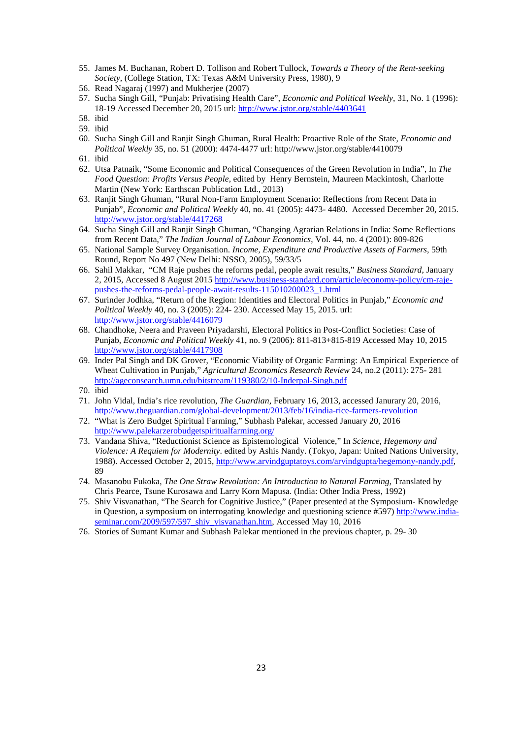- 55. James M. Buchanan, Robert D. Tollison and Robert Tullock, *Towards a Theory of the Rent-seeking Society*, (College Station, TX: Texas A&M University Press, 1980), 9
- 56. Read Nagaraj (1997) and Mukherjee (2007)
- 57. Sucha Singh Gill, "Punjab: Privatising Health Care", *Economic and Political Weekly*, 31, No. 1 (1996): 18-19 Accessed December 20, 2015 url: http://www.jstor.org/stable/4403641
- 58. ibid
- 59. ibid
- 60. Sucha Singh Gill and Ranjit Singh Ghuman, Rural Health: Proactive Role of the State, *Economic and Political Weekly* 35, no. 51 (2000): 4474-4477 url: http://www.jstor.org/stable/4410079
- 61. ibid
- 62. Utsa Patnaik, "Some Economic and Political Consequences of the Green Revolution in India", In *The Food Question: Profits Versus People*, edited by Henry Bernstein, Maureen Mackintosh, Charlotte Martin (New York: Earthscan Publication Ltd., 2013)
- 63. Ranjit Singh Ghuman, "Rural Non-Farm Employment Scenario: Reflections from Recent Data in Punjab", *Economic and Political Weekly* 40, no. 41 (2005): 4473- 4480. Accessed December 20, 2015. http://www.jstor.org/stable/4417268
- 64. Sucha Singh Gill and Ranjit Singh Ghuman, "Changing Agrarian Relations in India: Some Reflections from Recent Data," *The Indian Journal of Labour Economics*, Vol. 44, no. 4 (2001): 809-826
- 65. National Sample Survey Organisation. *Income, Expenditure and Productive Assets of Farmers*, 59th Round, Report No 497 (New Delhi: NSSO, 2005), 59/33/5
- 66. Sahil Makkar, "CM Raje pushes the reforms pedal, people await results," *Business Standard*, January 2, 2015, Accessed 8 August 2015 http://www.business-standard.com/article/economy-policy/cm-rajepushes-the-reforms-pedal-people-await-results-115010200023\_1.html
- 67. Surinder Jodhka, "Return of the Region: Identities and Electoral Politics in Punjab," *Economic and Political Weekly* 40, no. 3 (2005): 224- 230. Accessed May 15, 2015. url: http://www.jstor.org/stable/4416079
- 68. Chandhoke, Neera and Praveen Priyadarshi, Electoral Politics in Post-Conflict Societies: Case of Punjab, *Economic and Political Weekly* 41, no. 9 (2006): 811-813+815-819 Accessed May 10, 2015 http://www.jstor.org/stable/4417908
- 69. Inder Pal Singh and DK Grover, "Economic Viability of Organic Farming: An Empirical Experience of Wheat Cultivation in Punjab," *Agricultural Economics Research Review* 24, no.2 (2011): 275- 281 http://ageconsearch.umn.edu/bitstream/119380/2/10-Inderpal-Singh.pdf

- 71. John Vidal, India's rice revolution, *The Guardian*, February 16, 2013, accessed Janurary 20, 2016, http://www.theguardian.com/global-development/2013/feb/16/india-rice-farmers-revolution
- 72. "What is Zero Budget Spiritual Farming," Subhash Palekar, accessed January 20, 2016 http://www.palekarzerobudgetspiritualfarming.org/
- 73. Vandana Shiva, "Reductionist Science as Epistemological Violence," In *Science, Hegemony and Violence: A Requiem for Modernity*. edited by Ashis Nandy. (Tokyo, Japan: United Nations University, 1988). Accessed October 2, 2015, http://www.arvindguptatoys.com/arvindgupta/hegemony-nandy.pdf, 89
- 74. Masanobu Fukoka, *The One Straw Revolution: An Introduction to Natural Farming*, Translated by Chris Pearce, Tsune Kurosawa and Larry Korn Mapusa. (India: Other India Press, 1992)
- 75. Shiv Visvanathan, "The Search for Cognitive Justice," (Paper presented at the Symposium- Knowledge in Question, a symposium on interrogating knowledge and questioning science #597) http://www.indiaseminar.com/2009/597/597\_shiv\_visvanathan.htm, Accessed May 10, 2016
- 76. Stories of Sumant Kumar and Subhash Palekar mentioned in the previous chapter, p. 29- 30

<sup>70.</sup> ibid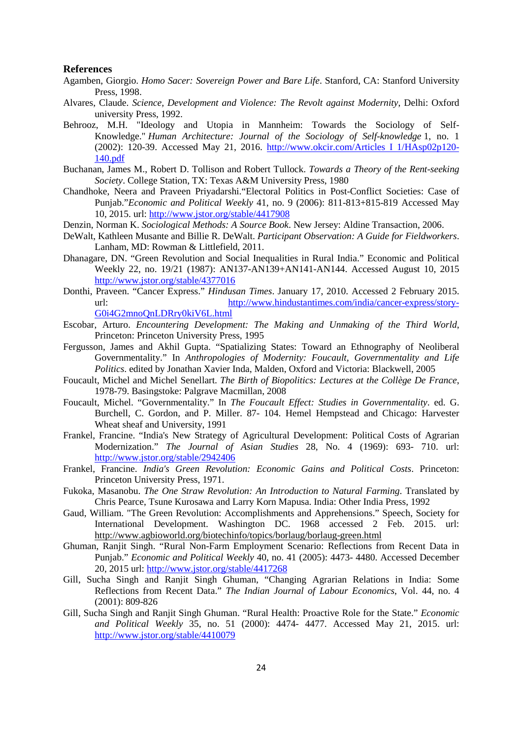#### **References**

- Agamben, Giorgio. *Homo Sacer: Sovereign Power and Bare Life*. Stanford, CA: Stanford University Press, 1998.
- Alvares, Claude. *Science, Development and Violence: The Revolt against Modernity*, Delhi: Oxford university Press, 1992.
- Behrooz, M.H. "Ideology and Utopia in Mannheim: Towards the Sociology of Self-Knowledge." *Human Architecture: Journal of the Sociology of Self-knowledge* 1, no. 1 (2002): 120-39. Accessed May 21, 2016. http://www.okcir.com/Articles I 1/HAsp02p120- 140.pdf
- Buchanan, James M., Robert D. Tollison and Robert Tullock. *Towards a Theory of the Rent-seeking Society*. College Station, TX: Texas A&M University Press, 1980
- Chandhoke, Neera and Praveen Priyadarshi."Electoral Politics in Post-Conflict Societies: Case of Punjab."*Economic and Political Weekly* 41, no. 9 (2006): 811-813+815-819 Accessed May 10, 2015. url: http://www.jstor.org/stable/4417908
- Denzin, Norman K. *Sociological Methods: A Source Book*. New Jersey: Aldine Transaction, 2006.
- DeWalt, Kathleen Musante and Billie R. DeWalt. *Participant Observation: A Guide for Fieldworkers*. Lanham, MD: Rowman & Littlefield, 2011.
- Dhanagare, DN. "Green Revolution and Social Inequalities in Rural India." Economic and Political Weekly 22, no. 19/21 (1987): AN137-AN139+AN141-AN144. Accessed August 10, 2015 http://www.jstor.org/stable/4377016
- Donthi, Praveen. "Cancer Express." *Hindusan Times*. January 17, 2010. Accessed 2 February 2015. url: http://www.hindustantimes.com/india/cancer-express/story-G0i4G2mnoQnLDRry0kiV6L.html
- Escobar, Arturo. *Encountering Development: The Making and Unmaking of the Third World*, Princeton: Princeton University Press, 1995
- Fergusson, James and Akhil Gupta. "Spatializing States: Toward an Ethnography of Neoliberal Governmentality." In *Anthropologies of Modernity: Foucault, Governmentality and Life Politics*. edited by Jonathan Xavier Inda, Malden, Oxford and Victoria: Blackwell, 2005
- Foucault, Michel and Michel Senellart. *The Birth of Biopolitics: Lectures at the Collège De France*, 1978-79. Basingstoke: Palgrave Macmillan, 2008
- Foucault, Michel. "Governmentality." In *The Foucault Effect: Studies in Governmentality*. ed. G. Burchell, C. Gordon, and P. Miller. 87- 104. Hemel Hempstead and Chicago: Harvester Wheat sheaf and University, 1991
- Frankel, Francine. "India's New Strategy of Agricultural Development: Political Costs of Agrarian Modernization." *The Journal of Asian Studies* 28, No. 4 (1969): 693- 710. url: http://www.jstor.org/stable/2942406
- Frankel, Francine. *India's Green Revolution: Economic Gains and Political Costs*. Princeton: Princeton University Press, 1971.
- Fukoka, Masanobu. *The One Straw Revolution: An Introduction to Natural Farming*. Translated by Chris Pearce, Tsune Kurosawa and Larry Korn Mapusa. India: Other India Press, 1992
- Gaud, William. "The Green Revolution: Accomplishments and Apprehensions." Speech, Society for International Development. Washington DC. 1968 accessed 2 Feb. 2015. url: http://www.agbioworld.org/biotechinfo/topics/borlaug/borlaug-green.html
- Ghuman, Ranjit Singh. "Rural Non-Farm Employment Scenario: Reflections from Recent Data in Punjab." *Economic and Political Weekly* 40, no. 41 (2005): 4473- 4480. Accessed December 20, 2015 url: http://www.jstor.org/stable/4417268
- Gill, Sucha Singh and Ranjit Singh Ghuman, "Changing Agrarian Relations in India: Some Reflections from Recent Data." *The Indian Journal of Labour Economics*, Vol. 44, no. 4 (2001): 809-826
- Gill, Sucha Singh and Ranjit Singh Ghuman. "Rural Health: Proactive Role for the State." *Economic and Political Weekly* 35, no. 51 (2000): 4474- 4477. Accessed May 21, 2015. url: http://www.jstor.org/stable/4410079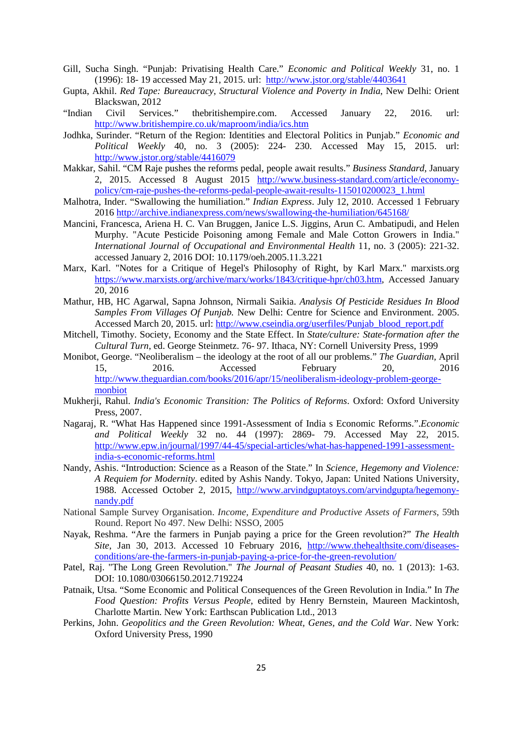- Gill, Sucha Singh. "Punjab: Privatising Health Care." *Economic and Political Weekly* 31, no. 1 (1996): 18- 19 accessed May 21, 2015. url: http://www.jstor.org/stable/4403641
- Gupta, Akhil. *Red Tape: Bureaucracy, Structural Violence and Poverty in India*, New Delhi: Orient Blackswan, 2012
- "Indian Civil Services." thebritishempire.com. Accessed January 22, 2016. url: http://www.britishempire.co.uk/maproom/india/ics.htm
- Jodhka, Surinder. "Return of the Region: Identities and Electoral Politics in Punjab." *Economic and Political Weekly* 40, no. 3 (2005): 224- 230. Accessed May 15, 2015. url: http://www.jstor.org/stable/4416079
- Makkar, Sahil. "CM Raje pushes the reforms pedal, people await results." *Business Standard*, January 2, 2015. Accessed 8 August 2015 http://www.business-standard.com/article/economypolicy/cm-raje-pushes-the-reforms-pedal-people-await-results-115010200023\_1.html
- Malhotra, Inder. "Swallowing the humiliation." *Indian Express*. July 12, 2010. Accessed 1 February 2016 http://archive.indianexpress.com/news/swallowing-the-humiliation/645168/
- Mancini, Francesca, Ariena H. C. Van Bruggen, Janice L.S. Jiggins, Arun C. Ambatipudi, and Helen Murphy. "Acute Pesticide Poisoning among Female and Male Cotton Growers in India." *International Journal of Occupational and Environmental Health* 11, no. 3 (2005): 221-32. accessed January 2, 2016 DOI: 10.1179/oeh.2005.11.3.221
- Marx, Karl. "Notes for a Critique of Hegel's Philosophy of Right, by Karl Marx." marxists.org https://www.marxists.org/archive/marx/works/1843/critique-hpr/ch03.htm, Accessed January 20, 2016
- Mathur, HB, HC Agarwal, Sapna Johnson, Nirmali Saikia. *Analysis Of Pesticide Residues In Blood Samples From Villages Of Punjab.* New Delhi: Centre for Science and Environment. 2005. Accessed March 20, 2015. url: http://www.cseindia.org/userfiles/Punjab\_blood\_report.pdf
- Mitchell, Timothy. Society, Economy and the State Effect. In *State/culture: State-formation after the Cultural Turn*, ed. George Steinmetz. 76- 97. Ithaca, NY: Cornell University Press, 1999
- Monibot, George. "Neoliberalism the ideology at the root of all our problems." *The Guardian,* April 15, 2016. Accessed February 20, 2016 http://www.theguardian.com/books/2016/apr/15/neoliberalism-ideology-problem-georgemonbiot
- Mukherji, Rahul. *India's Economic Transition: The Politics of Reforms*. Oxford: Oxford University Press, 2007.
- Nagaraj, R. "What Has Happened since 1991-Assessment of India s Economic Reforms.".*Economic and Political Weekly* 32 no. 44 (1997): 2869- 79. Accessed May 22, 2015. http://www.epw.in/journal/1997/44-45/special-articles/what-has-happened-1991-assessmentindia-s-economic-reforms.html
- Nandy, Ashis. "Introduction: Science as a Reason of the State." In *Science, Hegemony and Violence: A Requiem for Modernity*. edited by Ashis Nandy. Tokyo, Japan: United Nations University, 1988. Accessed October 2, 2015, http://www.arvindguptatoys.com/arvindgupta/hegemonynandy.pdf
- National Sample Survey Organisation. *Income, Expenditure and Productive Assets of Farmers*, 59th Round. Report No 497. New Delhi: NSSO, 2005
- Nayak, Reshma. "Are the farmers in Punjab paying a price for the Green revolution?" *The Health Site*, Jan 30, 2013. Accessed 10 February 2016, http://www.thehealthsite.com/diseasesconditions/are-the-farmers-in-punjab-paying-a-price-for-the-green-revolution/
- Patel, Raj. "The Long Green Revolution." *The Journal of Peasant Studies* 40, no. 1 (2013): 1-63. DOI: 10.1080/03066150.2012.719224
- Patnaik, Utsa. "Some Economic and Political Consequences of the Green Revolution in India." In *The Food Question: Profits Versus People*, edited by Henry Bernstein, Maureen Mackintosh, Charlotte Martin. New York: Earthscan Publication Ltd., 2013
- Perkins, John. *Geopolitics and the Green Revolution: Wheat, Genes, and the Cold War*. New York: Oxford University Press, 1990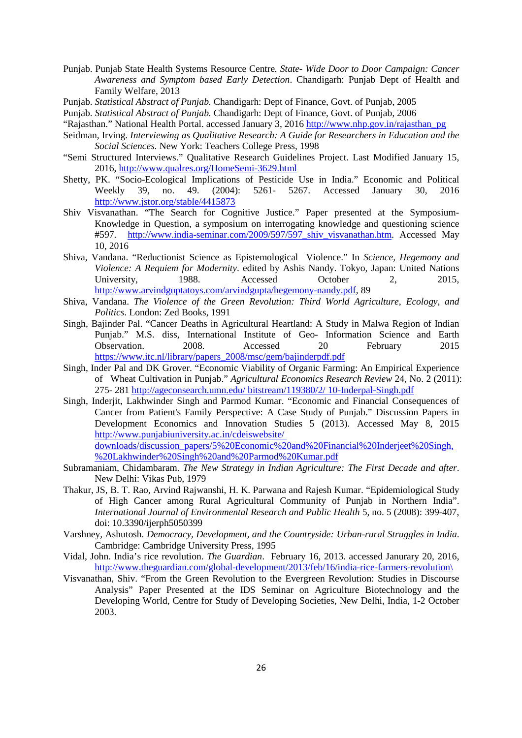- Punjab. Punjab State Health Systems Resource Centre*. State- Wide Door to Door Campaign: Cancer Awareness and Symptom based Early Detection*. Chandigarh: Punjab Dept of Health and Family Welfare, 2013
- Punjab. *Statistical Abstract of Punjab.* Chandigarh: Dept of Finance, Govt. of Punjab, 2005
- Punjab. *Statistical Abstract of Punjab.* Chandigarh: Dept of Finance, Govt. of Punjab, 2006
- "Rajasthan." National Health Portal. accessed January 3, 2016 http://www.nhp.gov.in/rajasthan\_pg
- Seidman, Irving. *Interviewing as Qualitative Research: A Guide for Researchers in Education and the Social Sciences.* New York: Teachers College Press, 1998
- "Semi Structured Interviews." Qualitative Research Guidelines Project. Last Modified January 15, 2016, http://www.qualres.org/HomeSemi-3629.html
- Shetty, PK. "Socio-Ecological Implications of Pesticide Use in India." Economic and Political Weekly 39, no. 49. (2004): 5261- 5267. Accessed January 30, 2016 http://www.jstor.org/stable/4415873
- Shiv Visvanathan. "The Search for Cognitive Justice." Paper presented at the Symposium-Knowledge in Question, a symposium on interrogating knowledge and questioning science #597. http://www.india-seminar.com/2009/597/597\_shiv\_visvanathan.htm. Accessed May 10, 2016
- Shiva, Vandana. "Reductionist Science as Epistemological Violence." In *Science, Hegemony and Violence: A Requiem for Modernity*. edited by Ashis Nandy. Tokyo, Japan: United Nations University, 1988. Accessed October 2, 2015, http://www.arvindguptatoys.com/arvindgupta/hegemony-nandy.pdf, 89
- Shiva, Vandana. *The Violence of the Green Revolution: Third World Agriculture, Ecology, and Politics*. London: Zed Books, 1991
- Singh, Bajinder Pal. "Cancer Deaths in Agricultural Heartland: A Study in Malwa Region of Indian Punjab." M.S. diss, International Institute of Geo- Information Science and Earth Observation. 2008. Accessed 20 February https://www.itc.nl/library/papers\_2008/msc/gem/bajinderpdf.pdf
- Singh, Inder Pal and DK Grover. "Economic Viability of Organic Farming: An Empirical Experience of Wheat Cultivation in Punjab." *Agricultural Economics Research Review* 24, No. 2 (2011): 275- 281 http://ageconsearch.umn.edu/ bitstream/119380/2/ 10-Inderpal-Singh.pdf
- Singh, Inderjit, Lakhwinder Singh and Parmod Kumar. "Economic and Financial Consequences of Cancer from Patient's Family Perspective: A Case Study of Punjab." Discussion Papers in Development Economics and Innovation Studies 5 (2013). Accessed May 8, 2015 http://www.punjabiuniversity.ac.in/cdeiswebsite/ downloads/discussion\_papers/5%20Economic%20and%20Financial%20Inderjeet%20Singh, %20Lakhwinder%20Singh%20and%20Parmod%20Kumar.pdf
- Subramaniam, Chidambaram. *The New Strategy in Indian Agriculture: The First Decade and after*. New Delhi: Vikas Pub, 1979
- Thakur, JS, B. T. Rao, Arvind Rajwanshi, H. K. Parwana and Rajesh Kumar. "Epidemiological Study of High Cancer among Rural Agricultural Community of Punjab in Northern India". *International Journal of Environmental Research and Public Health* 5, no. 5 (2008): 399-407, doi: 10.3390/ijerph5050399
- Varshney, Ashutosh. *Democracy, Development, and the Countryside: Urban-rural Struggles in India*. Cambridge: Cambridge University Press, 1995
- Vidal, John. India's rice revolution. *The Guardian*. February 16, 2013. accessed Janurary 20, 2016, http://www.theguardian.com/global-development/2013/feb/16/india-rice-farmers-revolution\
- Visvanathan, Shiv. "From the Green Revolution to the Evergreen Revolution: Studies in Discourse Analysis" Paper Presented at the IDS Seminar on Agriculture Biotechnology and the Developing World, Centre for Study of Developing Societies, New Delhi, India, 1-2 October 2003.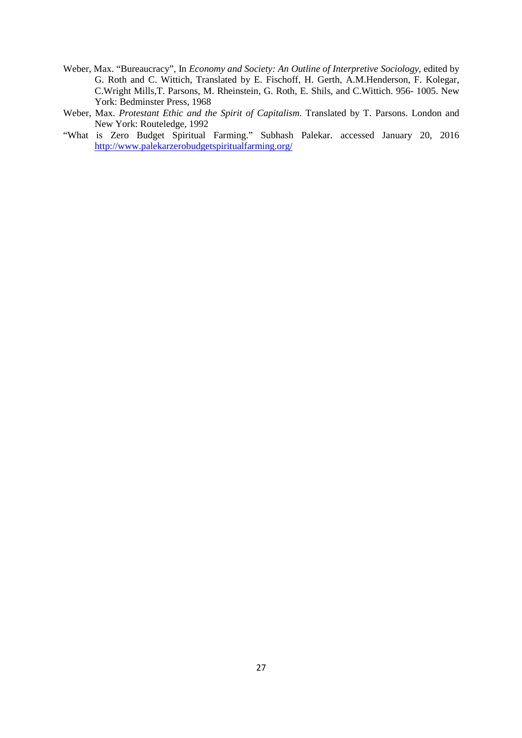- Weber, Max. "Bureaucracy", In *Economy and Society: An Outline of Interpretive Sociology*, edited by G. Roth and C. Wittich, Translated by E. Fischoff, H. Gerth, A.M.Henderson, F. Kolegar, C.Wright Mills,T. Parsons, M. Rheinstein, G. Roth, E. Shils, and C.Wittich. 956- 1005. New York: Bedminster Press, 1968
- Weber, Max. *Protestant Ethic and the Spirit of Capitalism*. Translated by T. Parsons. London and New York: Routeledge, 1992
- "What is Zero Budget Spiritual Farming." Subhash Palekar. accessed January 20, 2016 http://www.palekarzerobudgetspiritualfarming.org/